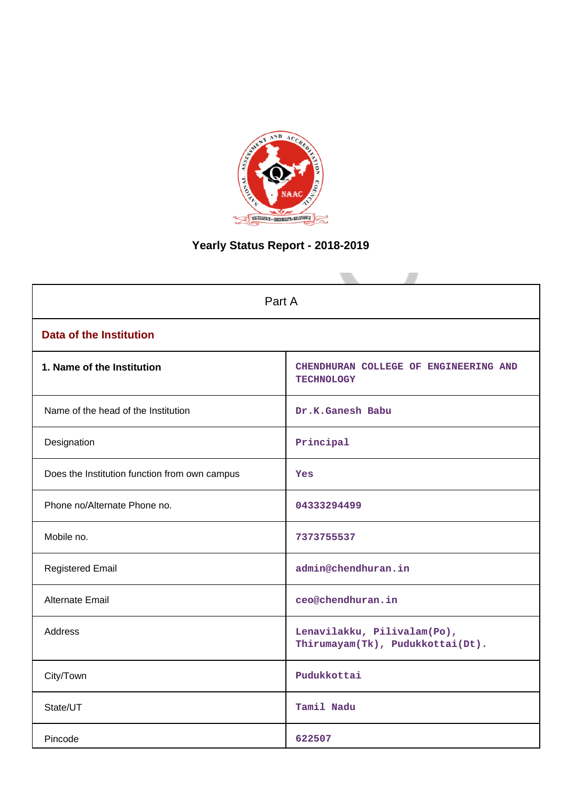

# **Yearly Status Report - 2018-2019**

| Part A                                        |                                                                 |  |  |  |  |  |  |  |
|-----------------------------------------------|-----------------------------------------------------------------|--|--|--|--|--|--|--|
| <b>Data of the Institution</b>                |                                                                 |  |  |  |  |  |  |  |
| 1. Name of the Institution                    | CHENDHURAN COLLEGE OF ENGINEERING AND<br><b>TECHNOLOGY</b>      |  |  |  |  |  |  |  |
| Name of the head of the Institution           | Dr.K.Ganesh Babu                                                |  |  |  |  |  |  |  |
| Designation                                   | Principal                                                       |  |  |  |  |  |  |  |
| Does the Institution function from own campus | Yes                                                             |  |  |  |  |  |  |  |
| Phone no/Alternate Phone no.                  | 04333294499                                                     |  |  |  |  |  |  |  |
| Mobile no.                                    | 7373755537                                                      |  |  |  |  |  |  |  |
| <b>Registered Email</b>                       | admin@chendhuran.in                                             |  |  |  |  |  |  |  |
| Alternate Email                               | ceo@chendhuran.in                                               |  |  |  |  |  |  |  |
| <b>Address</b>                                | Lenavilakku, Pilivalam(Po),<br>Thirumayam(Tk), Pudukkottai(Dt). |  |  |  |  |  |  |  |
| City/Town                                     | Pudukkottai                                                     |  |  |  |  |  |  |  |
| State/UT                                      | Tamil Nadu                                                      |  |  |  |  |  |  |  |
| Pincode                                       | 622507                                                          |  |  |  |  |  |  |  |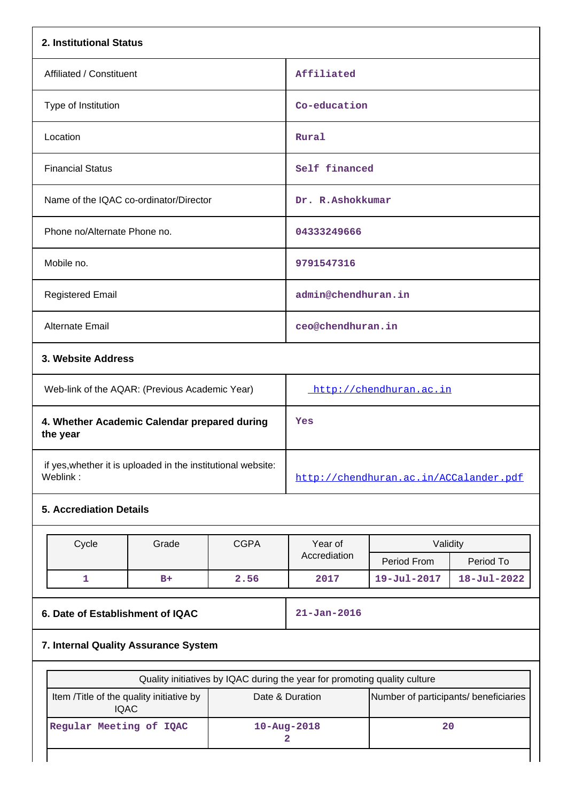| 2. Institutional Status                                                  |       |             |                                                                           |                                       |                   |  |  |
|--------------------------------------------------------------------------|-------|-------------|---------------------------------------------------------------------------|---------------------------------------|-------------------|--|--|
| Affiliated / Constituent                                                 |       |             | Affiliated                                                                |                                       |                   |  |  |
| Type of Institution                                                      |       |             | Co-education                                                              |                                       |                   |  |  |
| Location                                                                 |       |             | Rural                                                                     |                                       |                   |  |  |
| <b>Financial Status</b>                                                  |       |             | Self financed                                                             |                                       |                   |  |  |
| Name of the IQAC co-ordinator/Director                                   |       |             | Dr. R.Ashokkumar                                                          |                                       |                   |  |  |
| Phone no/Alternate Phone no.                                             |       |             | 04333249666                                                               |                                       |                   |  |  |
| Mobile no.                                                               |       |             | 9791547316                                                                |                                       |                   |  |  |
| <b>Registered Email</b>                                                  |       |             | admin@chendhuran.in                                                       |                                       |                   |  |  |
| Alternate Email                                                          |       |             | ceo@chendhuran.in                                                         |                                       |                   |  |  |
| 3. Website Address                                                       |       |             |                                                                           |                                       |                   |  |  |
| Web-link of the AQAR: (Previous Academic Year)                           |       |             | http://chendhuran.ac.in                                                   |                                       |                   |  |  |
| 4. Whether Academic Calendar prepared during<br>the year                 |       |             | Yes                                                                       |                                       |                   |  |  |
| if yes, whether it is uploaded in the institutional website:<br>Weblink: |       |             | http://chendhuran.ac.in/ACCalander.pdf                                    |                                       |                   |  |  |
| <b>5. Accrediation Details</b>                                           |       |             |                                                                           |                                       |                   |  |  |
| Cycle                                                                    | Grade | <b>CGPA</b> | Year of                                                                   | Validity                              |                   |  |  |
|                                                                          |       |             | Accrediation                                                              | Period From                           | Period To         |  |  |
| 1                                                                        | $B+$  | 2.56        | 2017                                                                      | 19-Jul-2017                           | $18 - Jul - 2022$ |  |  |
| 6. Date of Establishment of IQAC                                         |       |             | $21 - Jan - 2016$                                                         |                                       |                   |  |  |
| 7. Internal Quality Assurance System                                     |       |             |                                                                           |                                       |                   |  |  |
|                                                                          |       |             | Quality initiatives by IQAC during the year for promoting quality culture |                                       |                   |  |  |
| Item /Title of the quality initiative by<br><b>IQAC</b>                  |       |             | Date & Duration                                                           | Number of participants/ beneficiaries |                   |  |  |
| Regular Meeting of IQAC                                                  |       |             | 20<br>$10 - Aug - 2018$<br>2                                              |                                       |                   |  |  |
|                                                                          |       |             |                                                                           |                                       |                   |  |  |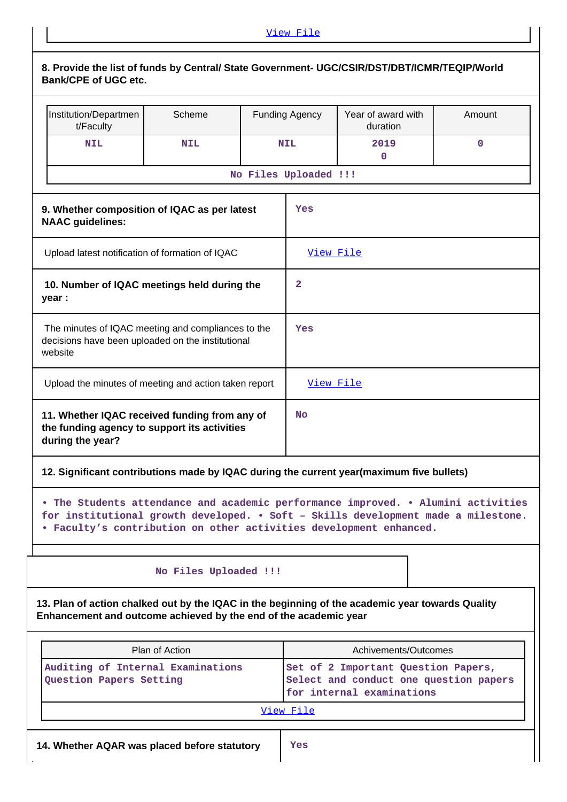| Institution/Departmen<br>t/Faculty                                                                                                                                                                                                           | Scheme                |                       | <b>Funding Agency</b> | Year of award with<br>duration                                      | Amount |
|----------------------------------------------------------------------------------------------------------------------------------------------------------------------------------------------------------------------------------------------|-----------------------|-----------------------|-----------------------|---------------------------------------------------------------------|--------|
| <b>NIL</b>                                                                                                                                                                                                                                   | <b>NIL</b>            |                       | <b>NIL</b>            | 2019                                                                | 0      |
|                                                                                                                                                                                                                                              |                       | No Files Uploaded !!! |                       | 0                                                                   |        |
|                                                                                                                                                                                                                                              |                       |                       |                       |                                                                     |        |
| 9. Whether composition of IQAC as per latest<br><b>NAAC</b> guidelines:                                                                                                                                                                      |                       |                       | Yes                   |                                                                     |        |
| Upload latest notification of formation of IQAC                                                                                                                                                                                              |                       |                       | View File             |                                                                     |        |
| 10. Number of IQAC meetings held during the<br>year :                                                                                                                                                                                        |                       |                       | $\mathbf{2}$          |                                                                     |        |
| The minutes of IQAC meeting and compliances to the<br>decisions have been uploaded on the institutional<br>website                                                                                                                           |                       |                       | Yes                   |                                                                     |        |
| Upload the minutes of meeting and action taken report                                                                                                                                                                                        |                       |                       | View File             |                                                                     |        |
| 11. Whether IQAC received funding from any of<br>the funding agency to support its activities<br>during the year?                                                                                                                            |                       |                       | No                    |                                                                     |        |
| 12. Significant contributions made by IQAC during the current year(maximum five bullets)                                                                                                                                                     |                       |                       |                       |                                                                     |        |
| • The Students attendance and academic performance improved. • Alumini activities<br>for institutional growth developed. . Soft - Skills development made a milestone.<br>. Faculty's contribution on other activities development enhanced. |                       |                       |                       |                                                                     |        |
|                                                                                                                                                                                                                                              | No Files Uploaded !!! |                       |                       |                                                                     |        |
| 13. Plan of action chalked out by the IQAC in the beginning of the academic year towards Quality<br>Enhancement and outcome achieved by the end of the academic year                                                                         |                       |                       |                       |                                                                     |        |
|                                                                                                                                                                                                                                              | Plan of Action        |                       |                       | Achivements/Outcomes                                                |        |
| Auditing of Internal Examinations<br>Question Papers Setting                                                                                                                                                                                 |                       |                       |                       | Set of 2 Important Question Papers,                                 |        |
|                                                                                                                                                                                                                                              |                       |                       |                       | Select and conduct one question papers<br>for internal examinations |        |

 $\mathop{\textstyle\prod}$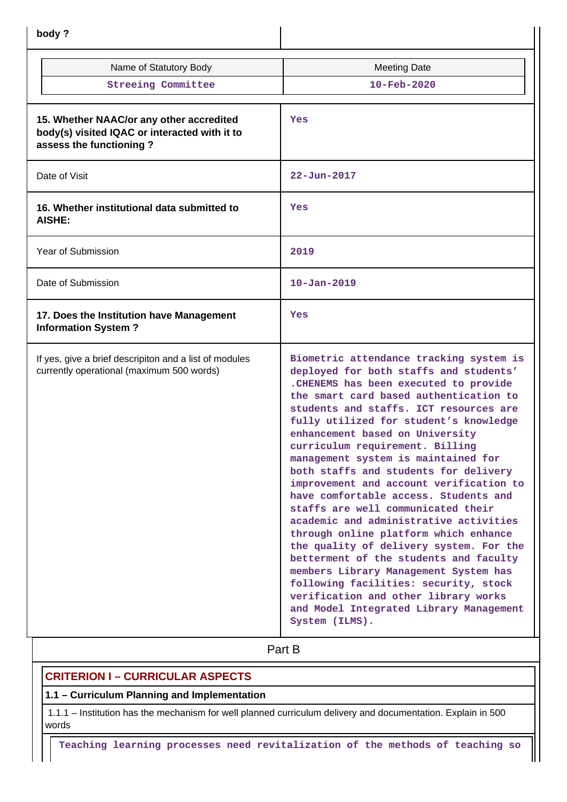| body?                                                                                                                |                                                                                                                                                                                                                                                                                                                                                                                                                                                                                                                                                                                                                                                                                                                                                                                                                                                                                                          |
|----------------------------------------------------------------------------------------------------------------------|----------------------------------------------------------------------------------------------------------------------------------------------------------------------------------------------------------------------------------------------------------------------------------------------------------------------------------------------------------------------------------------------------------------------------------------------------------------------------------------------------------------------------------------------------------------------------------------------------------------------------------------------------------------------------------------------------------------------------------------------------------------------------------------------------------------------------------------------------------------------------------------------------------|
| Name of Statutory Body                                                                                               | <b>Meeting Date</b>                                                                                                                                                                                                                                                                                                                                                                                                                                                                                                                                                                                                                                                                                                                                                                                                                                                                                      |
| <b>Streeing Committee</b>                                                                                            | $10 - \text{Feb} - 2020$                                                                                                                                                                                                                                                                                                                                                                                                                                                                                                                                                                                                                                                                                                                                                                                                                                                                                 |
| 15. Whether NAAC/or any other accredited<br>body(s) visited IQAC or interacted with it to<br>assess the functioning? | Yes                                                                                                                                                                                                                                                                                                                                                                                                                                                                                                                                                                                                                                                                                                                                                                                                                                                                                                      |
| Date of Visit                                                                                                        | $22 - Jun - 2017$                                                                                                                                                                                                                                                                                                                                                                                                                                                                                                                                                                                                                                                                                                                                                                                                                                                                                        |
| 16. Whether institutional data submitted to<br>AISHE:                                                                | Yes                                                                                                                                                                                                                                                                                                                                                                                                                                                                                                                                                                                                                                                                                                                                                                                                                                                                                                      |
| Year of Submission                                                                                                   | 2019                                                                                                                                                                                                                                                                                                                                                                                                                                                                                                                                                                                                                                                                                                                                                                                                                                                                                                     |
| Date of Submission                                                                                                   | $10 - Jan - 2019$                                                                                                                                                                                                                                                                                                                                                                                                                                                                                                                                                                                                                                                                                                                                                                                                                                                                                        |
| 17. Does the Institution have Management<br><b>Information System?</b>                                               | Yes                                                                                                                                                                                                                                                                                                                                                                                                                                                                                                                                                                                                                                                                                                                                                                                                                                                                                                      |
| If yes, give a brief descripiton and a list of modules<br>currently operational (maximum 500 words)                  | Biometric attendance tracking system is<br>deployed for both staffs and students'<br>. CHENEMS has been executed to provide<br>the smart card based authentication to<br>students and staffs. ICT resources are<br>fully utilized for student's knowledge<br>enhancement based on University<br>curriculum requirement. Billing<br>management system is maintained for<br>both staffs and students for delivery<br>improvement and account verification to<br>have comfortable access. Students and<br>staffs are well communicated their<br>academic and administrative activities<br>through online platform which enhance<br>the quality of delivery system. For the<br>betterment of the students and faculty<br>members Library Management System has<br>following facilities: security, stock<br>verification and other library works<br>and Model Integrated Library Management<br>System (ILMS). |
|                                                                                                                      | Part B                                                                                                                                                                                                                                                                                                                                                                                                                                                                                                                                                                                                                                                                                                                                                                                                                                                                                                   |

# **CRITERION I – CURRICULAR ASPECTS**

# **1.1 – Curriculum Planning and Implementation**

 1.1.1 – Institution has the mechanism for well planned curriculum delivery and documentation. Explain in 500 words

**Teaching learning processes need revitalization of the methods of teaching so**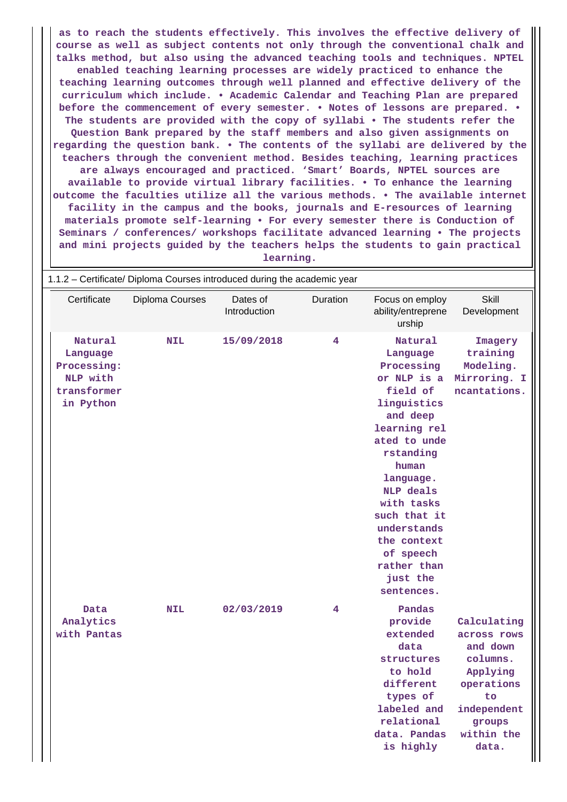**as to reach the students effectively. This involves the effective delivery of course as well as subject contents not only through the conventional chalk and talks method, but also using the advanced teaching tools and techniques. NPTEL enabled teaching learning processes are widely practiced to enhance the teaching learning outcomes through well planned and effective delivery of the curriculum which include. • Academic Calendar and Teaching Plan are prepared before the commencement of every semester. • Notes of lessons are prepared. • The students are provided with the copy of syllabi • The students refer the Question Bank prepared by the staff members and also given assignments on regarding the question bank. • The contents of the syllabi are delivered by the teachers through the convenient method. Besides teaching, learning practices are always encouraged and practiced. 'Smart' Boards, NPTEL sources are available to provide virtual library facilities. • To enhance the learning outcome the faculties utilize all the various methods. • The available internet facility in the campus and the books, journals and E-resources of learning materials promote self-learning • For every semester there is Conduction of Seminars / conferences/ workshops facilitate advanced learning • The projects and mini projects guided by the teachers helps the students to gain practical learning.**

| 1.1.2 - Certificate/ Diploma Courses introduced during the academic year   |                 |                          |          |                                                                                                                                                                                                                                                                                                  |                                                                                                                                    |  |  |  |  |
|----------------------------------------------------------------------------|-----------------|--------------------------|----------|--------------------------------------------------------------------------------------------------------------------------------------------------------------------------------------------------------------------------------------------------------------------------------------------------|------------------------------------------------------------------------------------------------------------------------------------|--|--|--|--|
| Certificate                                                                | Diploma Courses | Dates of<br>Introduction | Duration | Focus on employ<br>ability/entreprene<br>urship                                                                                                                                                                                                                                                  | <b>Skill</b><br>Development                                                                                                        |  |  |  |  |
| Natural<br>Language<br>Processing:<br>NLP with<br>transformer<br>in Python | <b>NIL</b>      | 15/09/2018               | 4        | Natural<br>Language<br>Processing<br>or NLP is a<br>field of<br>linguistics<br>and deep<br>learning rel<br>ated to unde<br>rstanding<br>human<br>language.<br><b>NLP</b> deals<br>with tasks<br>such that it<br>understands<br>the context<br>of speech<br>rather than<br>just the<br>sentences. | Imagery<br>training<br>Modeling.<br>Mirroring. I<br>ncantations.                                                                   |  |  |  |  |
| Data<br>Analytics<br>with Pantas                                           | <b>NIL</b>      | 02/03/2019               | 4        | Pandas<br>provide<br>extended<br>data<br>structures<br>to hold<br>different<br>types of<br>labeled and<br>relational<br>data. Pandas<br>is highly                                                                                                                                                | Calculating<br>across rows<br>and down<br>columns.<br>Applying<br>operations<br>to<br>independent<br>groups<br>within the<br>data. |  |  |  |  |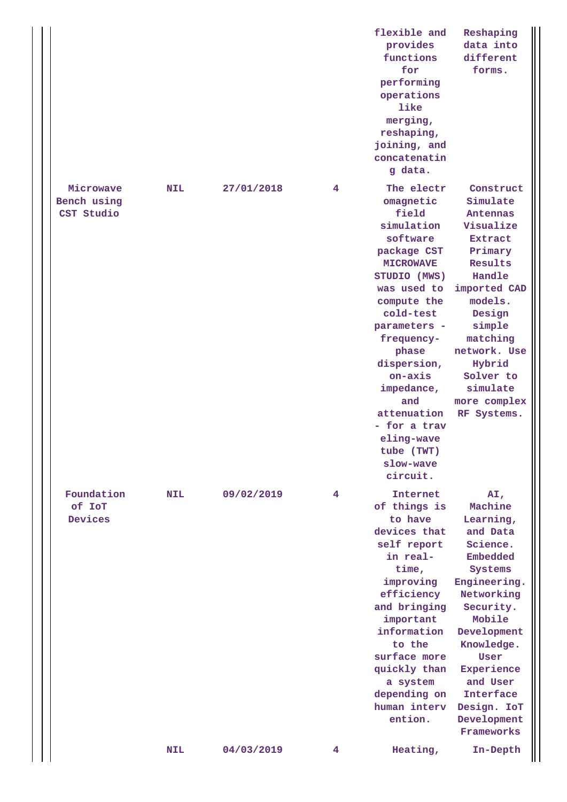|  |                                        |            |            |   | flexible and<br>provides<br>functions<br>for<br>performing<br>operations<br>like<br>merging,<br>reshaping,<br>joining, and<br>concatenatin<br>g data.                                                                                                                                                                              | Reshaping<br>data into<br>different<br>forms.                                                                                                                                                                                                           |
|--|----------------------------------------|------------|------------|---|------------------------------------------------------------------------------------------------------------------------------------------------------------------------------------------------------------------------------------------------------------------------------------------------------------------------------------|---------------------------------------------------------------------------------------------------------------------------------------------------------------------------------------------------------------------------------------------------------|
|  | Microwave<br>Bench using<br>CST Studio | <b>NIL</b> | 27/01/2018 | 4 | The electr<br>omagnetic<br>field<br>simulation<br>software<br>package CST<br><b>MICROWAVE</b><br>STUDIO (MWS)<br>was used to<br>compute the<br>cold-test<br>parameters -<br>frequency-<br>phase<br>dispersion,<br>on-axis<br>impedance,<br>and<br>attenuation<br>- for a trav<br>eling-wave<br>tube (TWT)<br>slow-wave<br>circuit. | Construct<br>Simulate<br>Antennas<br>Visualize<br><b>Extract</b><br>Primary<br>Results<br>Handle<br>imported CAD<br>models.<br>Design<br>simple<br>matching<br>network. Use<br>Hybrid<br>Solver to<br>simulate<br>more complex<br>RF Systems.           |
|  | Foundation<br>of IoT<br>Devices        | <b>NIL</b> | 09/02/2019 | 4 | Internet<br>of things is<br>to have<br>devices that<br>self report<br>in real-<br>time,<br>improving<br>efficiency<br>and bringing<br>important<br>information<br>to the<br>surface more<br>quickly than<br>a system<br>depending on<br>human interv<br>ention.                                                                    | AI,<br>Machine<br>Learning,<br>and Data<br>Science.<br>Embedded<br>Systems<br>Engineering.<br>Networking<br>Security.<br>Mobile<br>Development<br>Knowledge.<br>User<br>Experience<br>and User<br>Interface<br>Design. IoT<br>Development<br>Frameworks |
|  |                                        | <b>NIL</b> | 04/03/2019 | 4 | Heating,                                                                                                                                                                                                                                                                                                                           | In-Depth                                                                                                                                                                                                                                                |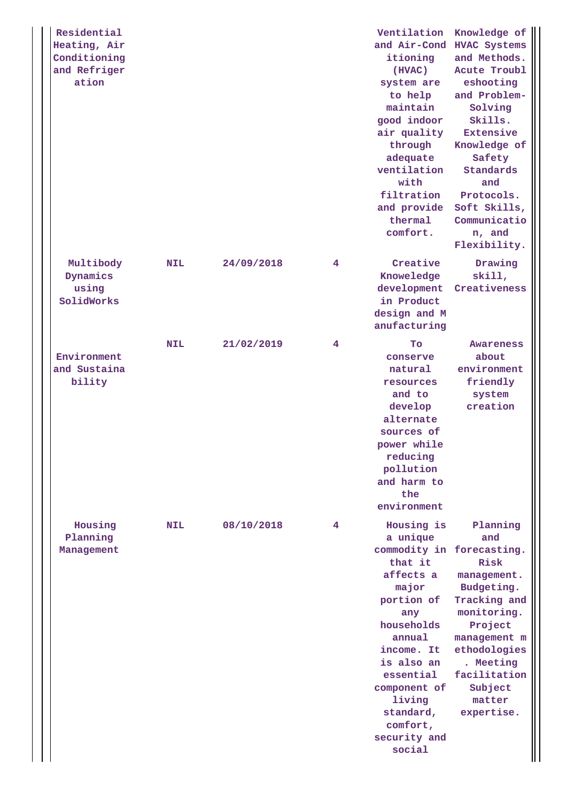| Residential<br>Heating, Air<br>Conditioning<br>and Refriger<br>ation |            |            |   | Ventilation<br>and Air-Cond HVAC Systems<br>itioning<br>(HVAC)<br>system are<br>to help<br>maintain<br>good indoor<br>air quality<br>through<br>adequate<br>ventilation<br>with<br>filtration<br>and provide<br>thermal<br>comfort.                     | Knowledge of<br>and Methods.<br>Acute Troubl<br>eshooting<br>and Problem-<br>Solving<br>Skills.<br>Extensive<br>Knowledge of<br>Safety<br>Standards<br>and<br>Protocols.<br>Soft Skills,<br>Communicatio<br>n, and<br>Flexibility. |
|----------------------------------------------------------------------|------------|------------|---|---------------------------------------------------------------------------------------------------------------------------------------------------------------------------------------------------------------------------------------------------------|------------------------------------------------------------------------------------------------------------------------------------------------------------------------------------------------------------------------------------|
| Multibody<br>Dynamics<br>using<br>SolidWorks                         | <b>NIL</b> | 24/09/2018 | 4 | Creative<br>Knoweledge<br>development<br>in Product<br>design and M<br>anufacturing                                                                                                                                                                     | Drawing<br>skip.01in<br>Creativeness                                                                                                                                                                                               |
| Environment<br>and Sustaina<br>bility                                | <b>NIL</b> | 21/02/2019 | 4 | Tо<br>conserve<br>natural<br>resources<br>and to<br>develop<br>alternate<br>sources of<br>power while<br>reducing<br>pollution<br>and harm to<br>the<br>environment                                                                                     | <b>Awareness</b><br>about<br>environment<br>friendly<br>system<br>creation                                                                                                                                                         |
| Housing<br>Planning<br>Management                                    | <b>NIL</b> | 08/10/2018 | 4 | Housing is<br>a unique<br>commodity in forecasting.<br>that it<br>affects a<br>major<br>portion of<br>any<br>households<br>annual<br>income. It<br>is also an<br>essential<br>component of<br>living<br>standard,<br>comfort,<br>security and<br>social | Planning<br>and<br>Risk<br>management.<br>Budgeting.<br>Tracking and<br>monitoring.<br>Project<br>management m<br>ethodologies<br>. Meeting<br>facilitation<br>Subject<br>matter<br>expertise.                                     |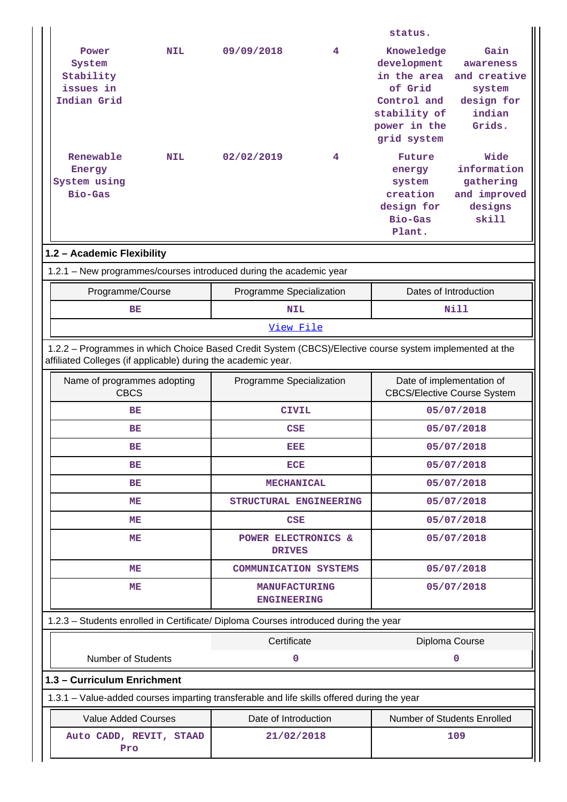|                                                                                            |                                                                                                                                                                                                                                   |                                            |   | status.                                                                                                           |                                                                               |  |  |  |
|--------------------------------------------------------------------------------------------|-----------------------------------------------------------------------------------------------------------------------------------------------------------------------------------------------------------------------------------|--------------------------------------------|---|-------------------------------------------------------------------------------------------------------------------|-------------------------------------------------------------------------------|--|--|--|
| Power<br>System<br>Stability<br>issues in<br>Indian Grid                                   | <b>NIL</b>                                                                                                                                                                                                                        | 09/09/2018                                 | 4 | Knoweledge<br>development<br>in the area<br>of Grid<br>Control and<br>stability of<br>power in the<br>grid system | Gain<br>awareness<br>and creative<br>system<br>design for<br>indian<br>Grids. |  |  |  |
| Renewable<br>Energy<br>System using<br>Bio-Gas                                             | <b>NIL</b>                                                                                                                                                                                                                        | 02/02/2019                                 | 4 | Future<br>energy<br>system<br>creation<br>design for<br>Bio-Gas<br>Plant.                                         | Wide<br>information<br>gathering<br>and improved<br>designs<br>skill          |  |  |  |
| 1.2 - Academic Flexibility                                                                 |                                                                                                                                                                                                                                   |                                            |   |                                                                                                                   |                                                                               |  |  |  |
| 1.2.1 - New programmes/courses introduced during the academic year                         |                                                                                                                                                                                                                                   |                                            |   |                                                                                                                   |                                                                               |  |  |  |
| Programme/Course                                                                           |                                                                                                                                                                                                                                   | Programme Specialization                   |   |                                                                                                                   | Dates of Introduction                                                         |  |  |  |
| BE                                                                                         |                                                                                                                                                                                                                                   | <b>NIL</b>                                 |   |                                                                                                                   | Nill                                                                          |  |  |  |
|                                                                                            |                                                                                                                                                                                                                                   | View File                                  |   |                                                                                                                   |                                                                               |  |  |  |
| Name of programmes adopting                                                                | 1.2.2 - Programmes in which Choice Based Credit System (CBCS)/Elective course system implemented at the<br>affiliated Colleges (if applicable) during the academic year.<br>Programme Specialization<br>Date of implementation of |                                            |   |                                                                                                                   |                                                                               |  |  |  |
| <b>CBCS</b>                                                                                |                                                                                                                                                                                                                                   |                                            |   |                                                                                                                   | <b>CBCS/Elective Course System</b>                                            |  |  |  |
| BE                                                                                         |                                                                                                                                                                                                                                   | <b>CIVIL</b>                               |   |                                                                                                                   | 05/07/2018                                                                    |  |  |  |
| BE                                                                                         |                                                                                                                                                                                                                                   | CSE                                        |   |                                                                                                                   | 05/07/2018                                                                    |  |  |  |
| ВE                                                                                         |                                                                                                                                                                                                                                   | вер                                        |   | 05/07/2018                                                                                                        |                                                                               |  |  |  |
| ВE                                                                                         |                                                                                                                                                                                                                                   | <b>ECE</b>                                 |   | 05/07/2018                                                                                                        |                                                                               |  |  |  |
| BE                                                                                         |                                                                                                                                                                                                                                   | <b>MECHANICAL</b>                          |   | 05/07/2018                                                                                                        |                                                                               |  |  |  |
| ME                                                                                         |                                                                                                                                                                                                                                   | STRUCTURAL ENGINEERING                     |   |                                                                                                                   | 05/07/2018                                                                    |  |  |  |
| ME                                                                                         |                                                                                                                                                                                                                                   | <b>CSE</b>                                 |   |                                                                                                                   | 05/07/2018                                                                    |  |  |  |
| MЕ                                                                                         |                                                                                                                                                                                                                                   | POWER ELECTRONICS &<br><b>DRIVES</b>       |   |                                                                                                                   | 05/07/2018                                                                    |  |  |  |
| MЕ                                                                                         |                                                                                                                                                                                                                                   | <b>COMMUNICATION SYSTEMS</b>               |   | 05/07/2018                                                                                                        |                                                                               |  |  |  |
| MЕ                                                                                         |                                                                                                                                                                                                                                   | <b>MANUFACTURING</b><br><b>ENGINEERING</b> |   |                                                                                                                   | 05/07/2018                                                                    |  |  |  |
| 1.2.3 - Students enrolled in Certificate/ Diploma Courses introduced during the year       |                                                                                                                                                                                                                                   |                                            |   |                                                                                                                   |                                                                               |  |  |  |
|                                                                                            |                                                                                                                                                                                                                                   | Certificate                                |   |                                                                                                                   | Diploma Course                                                                |  |  |  |
| <b>Number of Students</b>                                                                  |                                                                                                                                                                                                                                   | 0                                          |   |                                                                                                                   | 0                                                                             |  |  |  |
| 1.3 - Curriculum Enrichment                                                                |                                                                                                                                                                                                                                   |                                            |   |                                                                                                                   |                                                                               |  |  |  |
| 1.3.1 – Value-added courses imparting transferable and life skills offered during the year |                                                                                                                                                                                                                                   |                                            |   |                                                                                                                   |                                                                               |  |  |  |
| <b>Value Added Courses</b>                                                                 |                                                                                                                                                                                                                                   | Date of Introduction                       |   |                                                                                                                   | Number of Students Enrolled                                                   |  |  |  |
| Auto CADD, REVIT, STAAD<br>Pro                                                             |                                                                                                                                                                                                                                   | 21/02/2018                                 |   |                                                                                                                   | 109                                                                           |  |  |  |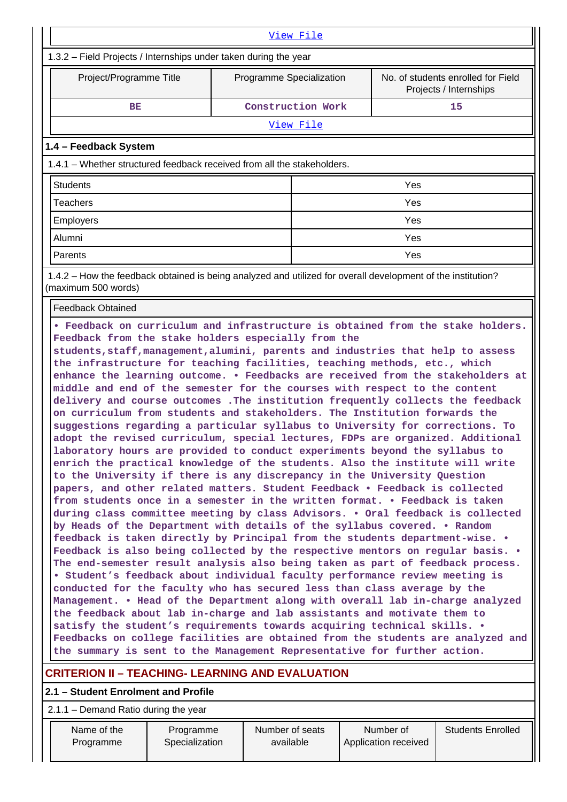| View File                                                                                                                                                                                                                                                                                                                                                                                                                                                                                                                                                                                                                                                                                                                                                                                                                                                                                                                                                                                                                                                                                                                                                                                                                                                                                                                                                                                                                                                                                                                                                                                                                                                                                                                                                                                                                                                                                                                                                                                                                                                                                                                                                      |  |                   |     |  |  |  |  |  |  |
|----------------------------------------------------------------------------------------------------------------------------------------------------------------------------------------------------------------------------------------------------------------------------------------------------------------------------------------------------------------------------------------------------------------------------------------------------------------------------------------------------------------------------------------------------------------------------------------------------------------------------------------------------------------------------------------------------------------------------------------------------------------------------------------------------------------------------------------------------------------------------------------------------------------------------------------------------------------------------------------------------------------------------------------------------------------------------------------------------------------------------------------------------------------------------------------------------------------------------------------------------------------------------------------------------------------------------------------------------------------------------------------------------------------------------------------------------------------------------------------------------------------------------------------------------------------------------------------------------------------------------------------------------------------------------------------------------------------------------------------------------------------------------------------------------------------------------------------------------------------------------------------------------------------------------------------------------------------------------------------------------------------------------------------------------------------------------------------------------------------------------------------------------------------|--|-------------------|-----|--|--|--|--|--|--|
| 1.3.2 - Field Projects / Internships under taken during the year                                                                                                                                                                                                                                                                                                                                                                                                                                                                                                                                                                                                                                                                                                                                                                                                                                                                                                                                                                                                                                                                                                                                                                                                                                                                                                                                                                                                                                                                                                                                                                                                                                                                                                                                                                                                                                                                                                                                                                                                                                                                                               |  |                   |     |  |  |  |  |  |  |
| No. of students enrolled for Field<br>Project/Programme Title<br>Programme Specialization<br>Projects / Internships                                                                                                                                                                                                                                                                                                                                                                                                                                                                                                                                                                                                                                                                                                                                                                                                                                                                                                                                                                                                                                                                                                                                                                                                                                                                                                                                                                                                                                                                                                                                                                                                                                                                                                                                                                                                                                                                                                                                                                                                                                            |  |                   |     |  |  |  |  |  |  |
| BE                                                                                                                                                                                                                                                                                                                                                                                                                                                                                                                                                                                                                                                                                                                                                                                                                                                                                                                                                                                                                                                                                                                                                                                                                                                                                                                                                                                                                                                                                                                                                                                                                                                                                                                                                                                                                                                                                                                                                                                                                                                                                                                                                             |  | Construction Work | 15  |  |  |  |  |  |  |
|                                                                                                                                                                                                                                                                                                                                                                                                                                                                                                                                                                                                                                                                                                                                                                                                                                                                                                                                                                                                                                                                                                                                                                                                                                                                                                                                                                                                                                                                                                                                                                                                                                                                                                                                                                                                                                                                                                                                                                                                                                                                                                                                                                |  | <u>View File</u>  |     |  |  |  |  |  |  |
| 1.4 - Feedback System                                                                                                                                                                                                                                                                                                                                                                                                                                                                                                                                                                                                                                                                                                                                                                                                                                                                                                                                                                                                                                                                                                                                                                                                                                                                                                                                                                                                                                                                                                                                                                                                                                                                                                                                                                                                                                                                                                                                                                                                                                                                                                                                          |  |                   |     |  |  |  |  |  |  |
| 1.4.1 – Whether structured feedback received from all the stakeholders.                                                                                                                                                                                                                                                                                                                                                                                                                                                                                                                                                                                                                                                                                                                                                                                                                                                                                                                                                                                                                                                                                                                                                                                                                                                                                                                                                                                                                                                                                                                                                                                                                                                                                                                                                                                                                                                                                                                                                                                                                                                                                        |  |                   |     |  |  |  |  |  |  |
| <b>Students</b>                                                                                                                                                                                                                                                                                                                                                                                                                                                                                                                                                                                                                                                                                                                                                                                                                                                                                                                                                                                                                                                                                                                                                                                                                                                                                                                                                                                                                                                                                                                                                                                                                                                                                                                                                                                                                                                                                                                                                                                                                                                                                                                                                |  |                   | Yes |  |  |  |  |  |  |
| <b>Teachers</b>                                                                                                                                                                                                                                                                                                                                                                                                                                                                                                                                                                                                                                                                                                                                                                                                                                                                                                                                                                                                                                                                                                                                                                                                                                                                                                                                                                                                                                                                                                                                                                                                                                                                                                                                                                                                                                                                                                                                                                                                                                                                                                                                                |  |                   | Yes |  |  |  |  |  |  |
| <b>Employers</b>                                                                                                                                                                                                                                                                                                                                                                                                                                                                                                                                                                                                                                                                                                                                                                                                                                                                                                                                                                                                                                                                                                                                                                                                                                                                                                                                                                                                                                                                                                                                                                                                                                                                                                                                                                                                                                                                                                                                                                                                                                                                                                                                               |  |                   | Yes |  |  |  |  |  |  |
| Alumni                                                                                                                                                                                                                                                                                                                                                                                                                                                                                                                                                                                                                                                                                                                                                                                                                                                                                                                                                                                                                                                                                                                                                                                                                                                                                                                                                                                                                                                                                                                                                                                                                                                                                                                                                                                                                                                                                                                                                                                                                                                                                                                                                         |  |                   | Yes |  |  |  |  |  |  |
| Parents                                                                                                                                                                                                                                                                                                                                                                                                                                                                                                                                                                                                                                                                                                                                                                                                                                                                                                                                                                                                                                                                                                                                                                                                                                                                                                                                                                                                                                                                                                                                                                                                                                                                                                                                                                                                                                                                                                                                                                                                                                                                                                                                                        |  |                   | Yes |  |  |  |  |  |  |
| (maximum 500 words)                                                                                                                                                                                                                                                                                                                                                                                                                                                                                                                                                                                                                                                                                                                                                                                                                                                                                                                                                                                                                                                                                                                                                                                                                                                                                                                                                                                                                                                                                                                                                                                                                                                                                                                                                                                                                                                                                                                                                                                                                                                                                                                                            |  |                   |     |  |  |  |  |  |  |
| <b>Feedback Obtained</b>                                                                                                                                                                                                                                                                                                                                                                                                                                                                                                                                                                                                                                                                                                                                                                                                                                                                                                                                                                                                                                                                                                                                                                                                                                                                                                                                                                                                                                                                                                                                                                                                                                                                                                                                                                                                                                                                                                                                                                                                                                                                                                                                       |  |                   |     |  |  |  |  |  |  |
| 1.4.2 – How the feedback obtained is being analyzed and utilized for overall development of the institution?<br>. Feedback on curriculum and infrastructure is obtained from the stake holders.<br>Feedback from the stake holders especially from the<br>students, staff, management, alumini, parents and industries that help to assess<br>the infrastructure for teaching facilities, teaching methods, etc., which<br>enhance the learning outcome. . Feedbacks are received from the stakeholders at<br>middle and end of the semester for the courses with respect to the content<br>delivery and course outcomes . The institution frequently collects the feedback<br>on curriculum from students and stakeholders. The Institution forwards the<br>suggestions regarding a particular syllabus to University for corrections. To<br>adopt the revised curriculum, special lectures, FDPs are organized. Additional<br>laboratory hours are provided to conduct experiments beyond the syllabus to<br>enrich the practical knowledge of the students. Also the institute will write<br>to the University if there is any discrepancy in the University Question<br>papers, and other related matters. Student Feedback . Feedback is collected<br>from students once in a semester in the written format. • Feedback is taken<br>during class committee meeting by class Advisors. . Oral feedback is collected<br>by Heads of the Department with details of the syllabus covered. . Random<br>feedback is taken directly by Principal from the students department-wise. .<br>Feedback is also being collected by the respective mentors on regular basis. .<br>The end-semester result analysis also being taken as part of feedback process.<br>• Student's feedback about individual faculty performance review meeting is<br>conducted for the faculty who has secured less than class average by the<br>Management. • Head of the Department along with overall lab in-charge analyzed<br>the feedback about lab in-charge and lab assistants and motivate them to<br>satisfy the student's requirements towards acquiring technical skills. . |  |                   |     |  |  |  |  |  |  |

# **CRITERION II – TEACHING- LEARNING AND EVALUATION**

# **2.1 – Student Enrolment and Profile**

2.1.1 – Demand Ratio during the year

 Name of the Programme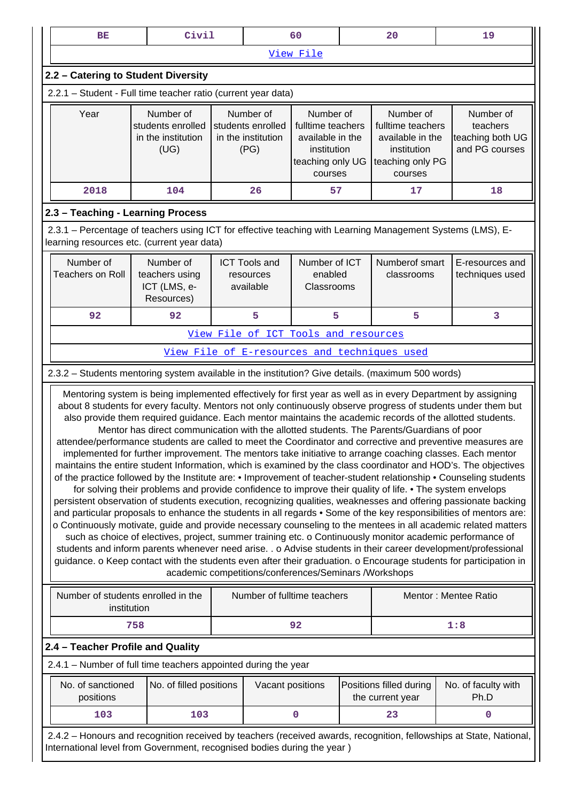|           | BE                                                                                                                                                                                                                                                                                                                                                                                                                                                                                                                                                                                                                                                                                                                                                                                                                                                                                                                                                                                                                                                                                                                                                                                                                                                                                                                                                                                                                                                                                                                                                                                                                                                                                                                                                                                              |     | Civil                                                     |  |                                                | 60                                                          |  | 20                                           | 19                                                                                                                  |  |  |
|-----------|-------------------------------------------------------------------------------------------------------------------------------------------------------------------------------------------------------------------------------------------------------------------------------------------------------------------------------------------------------------------------------------------------------------------------------------------------------------------------------------------------------------------------------------------------------------------------------------------------------------------------------------------------------------------------------------------------------------------------------------------------------------------------------------------------------------------------------------------------------------------------------------------------------------------------------------------------------------------------------------------------------------------------------------------------------------------------------------------------------------------------------------------------------------------------------------------------------------------------------------------------------------------------------------------------------------------------------------------------------------------------------------------------------------------------------------------------------------------------------------------------------------------------------------------------------------------------------------------------------------------------------------------------------------------------------------------------------------------------------------------------------------------------------------------------|-----|-----------------------------------------------------------|--|------------------------------------------------|-------------------------------------------------------------|--|----------------------------------------------|---------------------------------------------------------------------------------------------------------------------|--|--|
| View File |                                                                                                                                                                                                                                                                                                                                                                                                                                                                                                                                                                                                                                                                                                                                                                                                                                                                                                                                                                                                                                                                                                                                                                                                                                                                                                                                                                                                                                                                                                                                                                                                                                                                                                                                                                                                 |     |                                                           |  |                                                |                                                             |  |                                              |                                                                                                                     |  |  |
|           | 2.2 - Catering to Student Diversity                                                                                                                                                                                                                                                                                                                                                                                                                                                                                                                                                                                                                                                                                                                                                                                                                                                                                                                                                                                                                                                                                                                                                                                                                                                                                                                                                                                                                                                                                                                                                                                                                                                                                                                                                             |     |                                                           |  |                                                |                                                             |  |                                              |                                                                                                                     |  |  |
|           | 2.2.1 - Student - Full time teacher ratio (current year data)                                                                                                                                                                                                                                                                                                                                                                                                                                                                                                                                                                                                                                                                                                                                                                                                                                                                                                                                                                                                                                                                                                                                                                                                                                                                                                                                                                                                                                                                                                                                                                                                                                                                                                                                   |     |                                                           |  |                                                |                                                             |  |                                              |                                                                                                                     |  |  |
|           | Year<br>Number of<br>Number of<br>Number of<br>Number of<br>students enrolled<br>students enrolled<br>fulltime teachers<br>fulltime teachers<br>in the institution<br>in the institution<br>available in the<br>available in the<br>(UG)<br>(PG)<br>institution<br>institution<br>teaching only UG<br>teaching only PG<br>courses<br>courses                                                                                                                                                                                                                                                                                                                                                                                                                                                                                                                                                                                                                                                                                                                                                                                                                                                                                                                                                                                                                                                                                                                                                                                                                                                                                                                                                                                                                                                    |     |                                                           |  |                                                | Number of<br>teachers<br>teaching both UG<br>and PG courses |  |                                              |                                                                                                                     |  |  |
|           | 2018                                                                                                                                                                                                                                                                                                                                                                                                                                                                                                                                                                                                                                                                                                                                                                                                                                                                                                                                                                                                                                                                                                                                                                                                                                                                                                                                                                                                                                                                                                                                                                                                                                                                                                                                                                                            |     | 104                                                       |  | 26                                             | 57                                                          |  | 17                                           | 18                                                                                                                  |  |  |
|           | 2.3 - Teaching - Learning Process                                                                                                                                                                                                                                                                                                                                                                                                                                                                                                                                                                                                                                                                                                                                                                                                                                                                                                                                                                                                                                                                                                                                                                                                                                                                                                                                                                                                                                                                                                                                                                                                                                                                                                                                                               |     |                                                           |  |                                                |                                                             |  |                                              |                                                                                                                     |  |  |
|           | 2.3.1 – Percentage of teachers using ICT for effective teaching with Learning Management Systems (LMS), E-<br>learning resources etc. (current year data)                                                                                                                                                                                                                                                                                                                                                                                                                                                                                                                                                                                                                                                                                                                                                                                                                                                                                                                                                                                                                                                                                                                                                                                                                                                                                                                                                                                                                                                                                                                                                                                                                                       |     |                                                           |  |                                                |                                                             |  |                                              |                                                                                                                     |  |  |
|           | Number of<br><b>Teachers on Roll</b>                                                                                                                                                                                                                                                                                                                                                                                                                                                                                                                                                                                                                                                                                                                                                                                                                                                                                                                                                                                                                                                                                                                                                                                                                                                                                                                                                                                                                                                                                                                                                                                                                                                                                                                                                            |     | Number of<br>teachers using<br>ICT (LMS, e-<br>Resources) |  | <b>ICT Tools and</b><br>resources<br>available | Number of ICT<br>enabled<br>Classrooms                      |  | Numberof smart<br>classrooms                 | E-resources and<br>techniques used                                                                                  |  |  |
|           | 92                                                                                                                                                                                                                                                                                                                                                                                                                                                                                                                                                                                                                                                                                                                                                                                                                                                                                                                                                                                                                                                                                                                                                                                                                                                                                                                                                                                                                                                                                                                                                                                                                                                                                                                                                                                              |     | 92                                                        |  | 5                                              | 5                                                           |  | 5                                            | 3                                                                                                                   |  |  |
|           |                                                                                                                                                                                                                                                                                                                                                                                                                                                                                                                                                                                                                                                                                                                                                                                                                                                                                                                                                                                                                                                                                                                                                                                                                                                                                                                                                                                                                                                                                                                                                                                                                                                                                                                                                                                                 |     |                                                           |  | View File of ICT Tools and resources           |                                                             |  |                                              |                                                                                                                     |  |  |
|           |                                                                                                                                                                                                                                                                                                                                                                                                                                                                                                                                                                                                                                                                                                                                                                                                                                                                                                                                                                                                                                                                                                                                                                                                                                                                                                                                                                                                                                                                                                                                                                                                                                                                                                                                                                                                 |     |                                                           |  |                                                |                                                             |  | View File of E-resources and techniques used |                                                                                                                     |  |  |
|           | 2.3.2 - Students mentoring system available in the institution? Give details. (maximum 500 words)                                                                                                                                                                                                                                                                                                                                                                                                                                                                                                                                                                                                                                                                                                                                                                                                                                                                                                                                                                                                                                                                                                                                                                                                                                                                                                                                                                                                                                                                                                                                                                                                                                                                                               |     |                                                           |  |                                                |                                                             |  |                                              |                                                                                                                     |  |  |
|           | Mentoring system is being implemented effectively for first year as well as in every Department by assigning<br>about 8 students for every faculty. Mentors not only continuously observe progress of students under them but<br>also provide them required guidance. Each mentor maintains the academic records of the allotted students.<br>Mentor has direct communication with the allotted students. The Parents/Guardians of poor<br>attendee/performance students are called to meet the Coordinator and corrective and preventive measures are<br>implemented for further improvement. The mentors take initiative to arrange coaching classes. Each mentor<br>maintains the entire student Information, which is examined by the class coordinator and HOD's. The objectives<br>of the practice followed by the Institute are: • Improvement of teacher-student relationship • Counseling students<br>for solving their problems and provide confidence to improve their quality of life. • The system envelops<br>persistent observation of students execution, recognizing qualities, weaknesses and offering passionate backing<br>and particular proposals to enhance the students in all regards • Some of the key responsibilities of mentors are:<br>o Continuously motivate, guide and provide necessary counseling to the mentees in all academic related matters<br>such as choice of electives, project, summer training etc. o Continuously monitor academic performance of<br>students and inform parents whenever need arise. . o Advise students in their career development/professional<br>guidance. o Keep contact with the students even after their graduation. o Encourage students for participation in<br>academic competitions/conferences/Seminars /Workshops |     |                                                           |  |                                                |                                                             |  |                                              |                                                                                                                     |  |  |
|           | Number of students enrolled in the<br>institution                                                                                                                                                                                                                                                                                                                                                                                                                                                                                                                                                                                                                                                                                                                                                                                                                                                                                                                                                                                                                                                                                                                                                                                                                                                                                                                                                                                                                                                                                                                                                                                                                                                                                                                                               |     |                                                           |  | Number of fulltime teachers                    |                                                             |  |                                              | Mentor: Mentee Ratio                                                                                                |  |  |
|           |                                                                                                                                                                                                                                                                                                                                                                                                                                                                                                                                                                                                                                                                                                                                                                                                                                                                                                                                                                                                                                                                                                                                                                                                                                                                                                                                                                                                                                                                                                                                                                                                                                                                                                                                                                                                 | 758 |                                                           |  |                                                | 92                                                          |  |                                              | 1:8                                                                                                                 |  |  |
|           | 2.4 - Teacher Profile and Quality                                                                                                                                                                                                                                                                                                                                                                                                                                                                                                                                                                                                                                                                                                                                                                                                                                                                                                                                                                                                                                                                                                                                                                                                                                                                                                                                                                                                                                                                                                                                                                                                                                                                                                                                                               |     |                                                           |  |                                                |                                                             |  |                                              |                                                                                                                     |  |  |
|           | 2.4.1 - Number of full time teachers appointed during the year                                                                                                                                                                                                                                                                                                                                                                                                                                                                                                                                                                                                                                                                                                                                                                                                                                                                                                                                                                                                                                                                                                                                                                                                                                                                                                                                                                                                                                                                                                                                                                                                                                                                                                                                  |     |                                                           |  |                                                |                                                             |  |                                              |                                                                                                                     |  |  |
|           | No. of sanctioned<br>positions                                                                                                                                                                                                                                                                                                                                                                                                                                                                                                                                                                                                                                                                                                                                                                                                                                                                                                                                                                                                                                                                                                                                                                                                                                                                                                                                                                                                                                                                                                                                                                                                                                                                                                                                                                  |     | No. of filled positions                                   |  | Vacant positions                               |                                                             |  | Positions filled during<br>the current year  | No. of faculty with<br>Ph.D                                                                                         |  |  |
|           | 103                                                                                                                                                                                                                                                                                                                                                                                                                                                                                                                                                                                                                                                                                                                                                                                                                                                                                                                                                                                                                                                                                                                                                                                                                                                                                                                                                                                                                                                                                                                                                                                                                                                                                                                                                                                             |     | 103                                                       |  |                                                | 0                                                           |  | 23                                           | 0                                                                                                                   |  |  |
|           | International level from Government, recognised bodies during the year)                                                                                                                                                                                                                                                                                                                                                                                                                                                                                                                                                                                                                                                                                                                                                                                                                                                                                                                                                                                                                                                                                                                                                                                                                                                                                                                                                                                                                                                                                                                                                                                                                                                                                                                         |     |                                                           |  |                                                |                                                             |  |                                              | 2.4.2 - Honours and recognition received by teachers (received awards, recognition, fellowships at State, National, |  |  |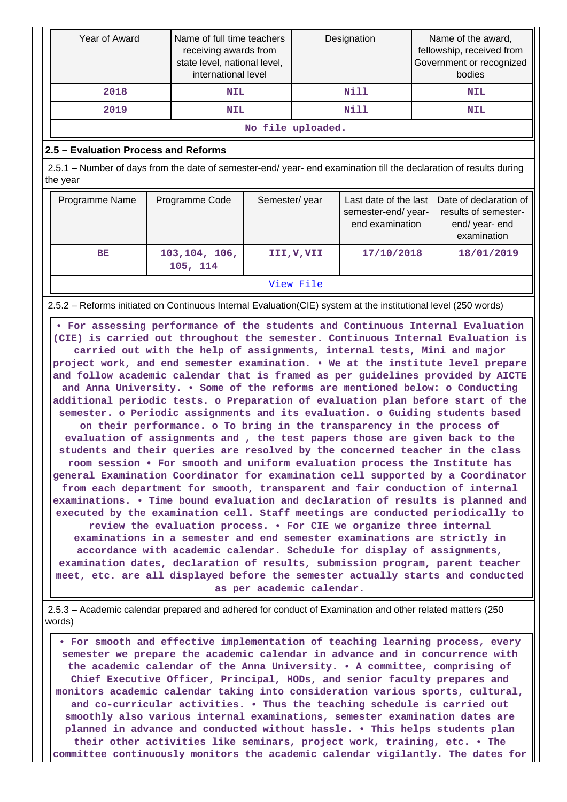| Year of Award                                                                                                                  |                                                                                                   | Name of full time teachers<br>Designation<br>receiving awards from<br>state level, national level,<br>international level |           |            |                                                                                 | Name of the award,<br>fellowship, received from<br>Government or recognized<br>bodies |  |  |
|--------------------------------------------------------------------------------------------------------------------------------|---------------------------------------------------------------------------------------------------|---------------------------------------------------------------------------------------------------------------------------|-----------|------------|---------------------------------------------------------------------------------|---------------------------------------------------------------------------------------|--|--|
| 2018                                                                                                                           | <b>NIL</b>                                                                                        |                                                                                                                           |           | Nill       |                                                                                 | <b>NIL</b>                                                                            |  |  |
| 2019                                                                                                                           |                                                                                                   | <b>NIL</b>                                                                                                                |           | Nill       |                                                                                 | <b>NIL</b>                                                                            |  |  |
| No file uploaded.                                                                                                              |                                                                                                   |                                                                                                                           |           |            |                                                                                 |                                                                                       |  |  |
| 2.5 - Evaluation Process and Reforms                                                                                           |                                                                                                   |                                                                                                                           |           |            |                                                                                 |                                                                                       |  |  |
| 2.5.1 – Number of days from the date of semester-end/ year- end examination till the declaration of results during<br>the year |                                                                                                   |                                                                                                                           |           |            |                                                                                 |                                                                                       |  |  |
| Programme Name                                                                                                                 | Programme Code<br>Last date of the last<br>Semester/year<br>semester-end/year-<br>end examination |                                                                                                                           |           |            | Date of declaration of<br>results of semester-<br>end/ year- end<br>examination |                                                                                       |  |  |
| BE                                                                                                                             | 103,104, 106,<br>105, 114                                                                         |                                                                                                                           | III,V,VII | 17/10/2018 |                                                                                 | 18/01/2019                                                                            |  |  |
|                                                                                                                                |                                                                                                   |                                                                                                                           | View File |            |                                                                                 |                                                                                       |  |  |
| 2.5.2 – Reforms initiated on Continuous Internal Evaluation (CIE) system at the institutional level (250 words)                |                                                                                                   |                                                                                                                           |           |            |                                                                                 |                                                                                       |  |  |

 **• For assessing performance of the students and Continuous Internal Evaluation (CIE) is carried out throughout the semester. Continuous Internal Evaluation is carried out with the help of assignments, internal tests, Mini and major project work, and end semester examination. • We at the institute level prepare and follow academic calendar that is framed as per guidelines provided by AICTE and Anna University. • Some of the reforms are mentioned below: o Conducting additional periodic tests. o Preparation of evaluation plan before start of the semester. o Periodic assignments and its evaluation. o Guiding students based on their performance. o To bring in the transparency in the process of evaluation of assignments and , the test papers those are given back to the students and their queries are resolved by the concerned teacher in the class room session • For smooth and uniform evaluation process the Institute has general Examination Coordinator for examination cell supported by a Coordinator from each department for smooth, transparent and fair conduction of internal examinations. • Time bound evaluation and declaration of results is planned and executed by the examination cell. Staff meetings are conducted periodically to review the evaluation process. • For CIE we organize three internal examinations in a semester and end semester examinations are strictly in accordance with academic calendar. Schedule for display of assignments, examination dates, declaration of results, submission program, parent teacher meet, etc. are all displayed before the semester actually starts and conducted as per academic calendar.**

 2.5.3 – Academic calendar prepared and adhered for conduct of Examination and other related matters (250 words)

 **• For smooth and effective implementation of teaching learning process, every semester we prepare the academic calendar in advance and in concurrence with the academic calendar of the Anna University. • A committee, comprising of Chief Executive Officer, Principal, HODs, and senior faculty prepares and monitors academic calendar taking into consideration various sports, cultural, and co-curricular activities. • Thus the teaching schedule is carried out smoothly also various internal examinations, semester examination dates are planned in advance and conducted without hassle. • This helps students plan their other activities like seminars, project work, training, etc. • The committee continuously monitors the academic calendar vigilantly. The dates for**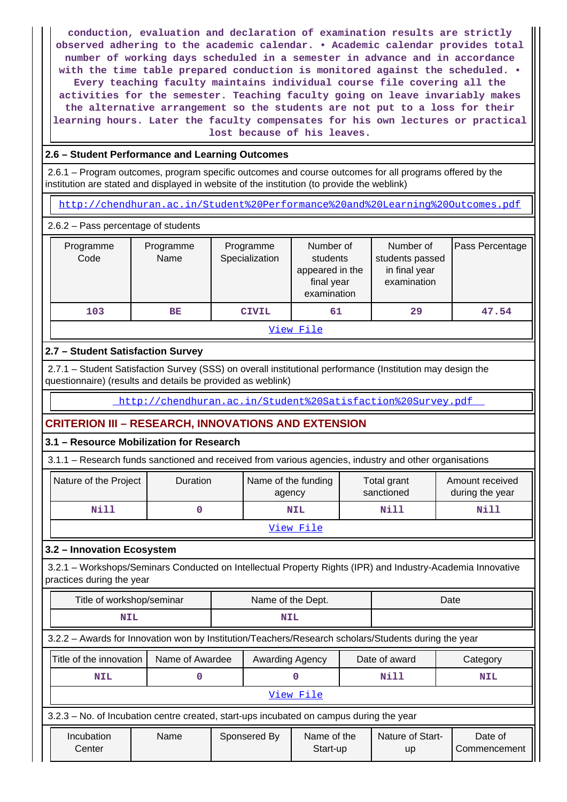**conduction, evaluation and declaration of examination results are strictly observed adhering to the academic calendar. • Academic calendar provides total number of working days scheduled in a semester in advance and in accordance with the time table prepared conduction is monitored against the scheduled. • Every teaching faculty maintains individual course file covering all the activities for the semester. Teaching faculty going on leave invariably makes the alternative arrangement so the students are not put to a loss for their learning hours. Later the faculty compensates for his own lectures or practical lost because of his leaves.**

# **2.6 – Student Performance and Learning Outcomes**

 2.6.1 – Program outcomes, program specific outcomes and course outcomes for all programs offered by the institution are stated and displayed in website of the institution (to provide the weblink)

<http://chendhuran.ac.in/Student%20Performance%20and%20Learning%20Outcomes.pdf>

## 2.6.2 – Pass percentage of students

| Programme<br>Code | Programme<br>Name | Programme<br>Specialization | Number of<br>students<br>appeared in the<br>final year<br>examination | Number of<br>students passed<br>in final year<br>examination | Pass Percentage |  |  |  |  |
|-------------------|-------------------|-----------------------------|-----------------------------------------------------------------------|--------------------------------------------------------------|-----------------|--|--|--|--|
| 103               | BE                | <b>CIVIL</b>                | 61                                                                    | 29                                                           | 47.54           |  |  |  |  |
| View File         |                   |                             |                                                                       |                                                              |                 |  |  |  |  |

# **2.7 – Student Satisfaction Survey**

 2.7.1 – Student Satisfaction Survey (SSS) on overall institutional performance (Institution may design the questionnaire) (results and details be provided as weblink)

<http://chendhuran.ac.in/Student%20Satisfaction%20Survey.pdf>

# **CRITERION III – RESEARCH, INNOVATIONS AND EXTENSION**

## **3.1 – Resource Mobilization for Research**

3.1.1 – Research funds sanctioned and received from various agencies, industry and other organisations

| Nature of the Project | Duration | Name of the funding<br>agency | Total grant<br>sanctioned | Amount received<br>during the year |  |
|-----------------------|----------|-------------------------------|---------------------------|------------------------------------|--|
| Nill                  |          | <b>NIL</b>                    | Nill                      | Nill                               |  |
| View File             |          |                               |                           |                                    |  |

# **3.2 – Innovation Ecosystem**

 3.2.1 – Workshops/Seminars Conducted on Intellectual Property Rights (IPR) and Industry-Academia Innovative practices during the year

| Title of workshop/seminar                                                                            | Name of the Dept. |  |                 |                         | Date |                               |                         |  |
|------------------------------------------------------------------------------------------------------|-------------------|--|-----------------|-------------------------|------|-------------------------------|-------------------------|--|
| <b>NIL</b>                                                                                           | <b>NIL</b>        |  |                 |                         |      |                               |                         |  |
| 3.2.2 - Awards for Innovation won by Institution/Teachers/Research scholars/Students during the year |                   |  |                 |                         |      |                               |                         |  |
| Title of the innovation<br>Name of Awardee                                                           |                   |  | Awarding Agency |                         |      | Date of award                 | Category                |  |
| <b>NIL</b>                                                                                           |                   |  |                 |                         |      | Nill                          | <b>NIL</b>              |  |
|                                                                                                      |                   |  |                 | View File               |      |                               |                         |  |
| 3.2.3 – No. of Incubation centre created, start-ups incubated on campus during the year              |                   |  |                 |                         |      |                               |                         |  |
| Incubation<br>Center                                                                                 | Name              |  | Sponsered By    | Name of the<br>Start-up |      | Nature of Start-<br><b>up</b> | Date of<br>Commencement |  |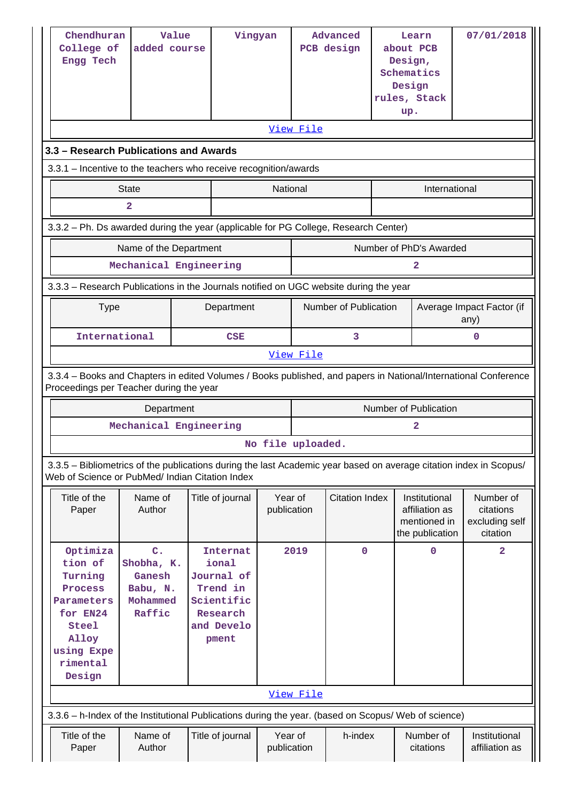| Chendhuran<br>College of<br>Engg Tech<br>3.3 - Research Publications and Awards                                                                                       | Value<br>added course                                                                                                                                      |  | Vingyan                                                                                             |                        | View File | Advanced<br>PCB design |  | Learn<br>about PCB<br>Design,<br>Schematics<br>Design<br>rules, Stack<br>up. | 07/01/2018                                           |                           |  |
|-----------------------------------------------------------------------------------------------------------------------------------------------------------------------|------------------------------------------------------------------------------------------------------------------------------------------------------------|--|-----------------------------------------------------------------------------------------------------|------------------------|-----------|------------------------|--|------------------------------------------------------------------------------|------------------------------------------------------|---------------------------|--|
| 3.3.1 - Incentive to the teachers who receive recognition/awards                                                                                                      |                                                                                                                                                            |  |                                                                                                     |                        |           |                        |  |                                                                              |                                                      |                           |  |
|                                                                                                                                                                       | <b>State</b>                                                                                                                                               |  |                                                                                                     | National               |           |                        |  | International                                                                |                                                      |                           |  |
|                                                                                                                                                                       | $\overline{a}$                                                                                                                                             |  |                                                                                                     |                        |           |                        |  |                                                                              |                                                      |                           |  |
|                                                                                                                                                                       | 3.3.2 - Ph. Ds awarded during the year (applicable for PG College, Research Center)                                                                        |  |                                                                                                     |                        |           |                        |  |                                                                              |                                                      |                           |  |
|                                                                                                                                                                       | Name of the Department                                                                                                                                     |  |                                                                                                     |                        |           |                        |  | Number of PhD's Awarded                                                      |                                                      |                           |  |
|                                                                                                                                                                       | Mechanical Engineering                                                                                                                                     |  |                                                                                                     |                        |           |                        |  | 2                                                                            |                                                      |                           |  |
| 3.3.3 - Research Publications in the Journals notified on UGC website during the year                                                                                 |                                                                                                                                                            |  |                                                                                                     |                        |           |                        |  |                                                                              |                                                      |                           |  |
| <b>Type</b>                                                                                                                                                           |                                                                                                                                                            |  | Department                                                                                          |                        |           | Number of Publication  |  |                                                                              | any)                                                 | Average Impact Factor (if |  |
| International                                                                                                                                                         |                                                                                                                                                            |  | CSE                                                                                                 |                        | 3         |                        |  | 0                                                                            |                                                      |                           |  |
| View File                                                                                                                                                             |                                                                                                                                                            |  |                                                                                                     |                        |           |                        |  |                                                                              |                                                      |                           |  |
|                                                                                                                                                                       | 3.3.4 - Books and Chapters in edited Volumes / Books published, and papers in National/International Conference<br>Proceedings per Teacher during the year |  |                                                                                                     |                        |           |                        |  |                                                                              |                                                      |                           |  |
|                                                                                                                                                                       | Department                                                                                                                                                 |  |                                                                                                     |                        |           |                        |  | <b>Number of Publication</b>                                                 |                                                      |                           |  |
|                                                                                                                                                                       | Mechanical Engineering                                                                                                                                     |  |                                                                                                     |                        |           |                        |  | $\mathbf{2}$                                                                 |                                                      |                           |  |
|                                                                                                                                                                       |                                                                                                                                                            |  |                                                                                                     | No file uploaded.      |           |                        |  |                                                                              |                                                      |                           |  |
| 3.3.5 - Bibliometrics of the publications during the last Academic year based on average citation index in Scopus/<br>Web of Science or PubMed/ Indian Citation Index |                                                                                                                                                            |  |                                                                                                     |                        |           |                        |  |                                                                              |                                                      |                           |  |
| Title of the<br>Paper                                                                                                                                                 | Name of<br>Author                                                                                                                                          |  | Title of journal                                                                                    | Year of<br>publication |           | <b>Citation Index</b>  |  | Institutional<br>affiliation as<br>mentioned in<br>the publication           | Number of<br>citations<br>excluding self<br>citation |                           |  |
| Optimiza<br>tion of<br>Turning<br>Process<br>Parameters<br>for EN24<br>Steel<br>Alloy<br>using Expe<br>rimental<br>Design                                             | $\mathbf{C}$ .<br>Shobha, K.<br>Ganesh<br>Babu, N.<br>Mohammed<br>Raffic                                                                                   |  | <b>Internat</b><br>ional<br>Journal of<br>Trend in<br>Scientific<br>Research<br>and Develo<br>pment |                        | 2019      | $\mathbf 0$            |  | $\mathbf 0$                                                                  |                                                      | $\overline{2}$            |  |
|                                                                                                                                                                       |                                                                                                                                                            |  |                                                                                                     |                        | View File |                        |  |                                                                              |                                                      |                           |  |
| 3.3.6 - h-Index of the Institutional Publications during the year. (based on Scopus/ Web of science)                                                                  |                                                                                                                                                            |  |                                                                                                     |                        |           |                        |  |                                                                              |                                                      |                           |  |
| Title of the<br>Paper                                                                                                                                                 | Name of<br>Author                                                                                                                                          |  | Title of journal                                                                                    | Year of<br>publication |           | h-index                |  | Number of<br>citations                                                       | Institutional<br>affiliation as                      |                           |  |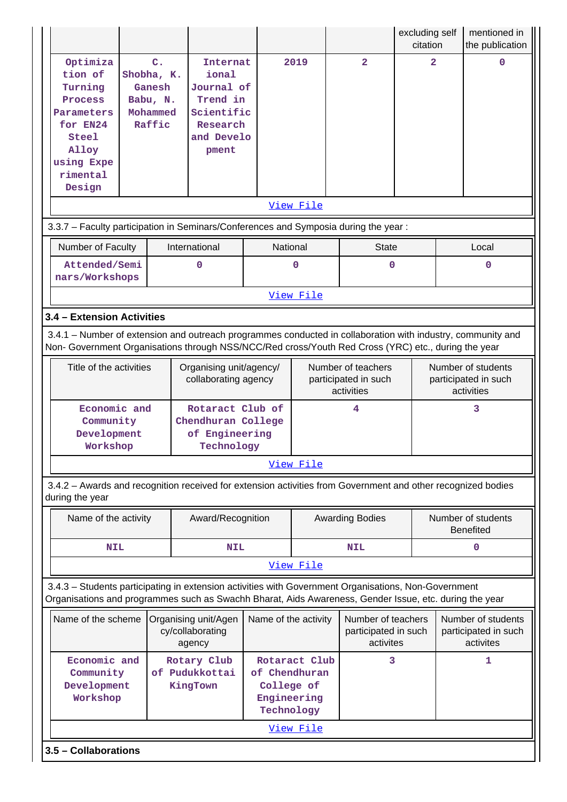|                                                                                                                                                                                                                    |                         |                                                                          |                                                                                                     |                                                                           |             |  |                                                          | excluding self<br>citation |                                        | mentioned in<br>the publication                          |
|--------------------------------------------------------------------------------------------------------------------------------------------------------------------------------------------------------------------|-------------------------|--------------------------------------------------------------------------|-----------------------------------------------------------------------------------------------------|---------------------------------------------------------------------------|-------------|--|----------------------------------------------------------|----------------------------|----------------------------------------|----------------------------------------------------------|
| Optimiza<br>tion of<br>Turning<br>Process<br>Parameters<br>for EN24<br>Steel<br>Alloy<br>using Expe<br>rimental<br>Design                                                                                          |                         | $\mathbf{C}$ .<br>Shobha, K.<br>Ganesh<br>Babu, N.<br>Mohammed<br>Raffic | <b>Internat</b><br>ional<br>Journal of<br>Trend in<br>Scientific<br>Research<br>and Develo<br>pment |                                                                           | 2019        |  | $\overline{a}$                                           | $\overline{\mathbf{2}}$    |                                        | $\mathbf 0$                                              |
|                                                                                                                                                                                                                    | <u>View File</u>        |                                                                          |                                                                                                     |                                                                           |             |  |                                                          |                            |                                        |                                                          |
| 3.3.7 - Faculty participation in Seminars/Conferences and Symposia during the year:                                                                                                                                |                         |                                                                          |                                                                                                     |                                                                           |             |  |                                                          |                            |                                        |                                                          |
| Number of Faculty                                                                                                                                                                                                  |                         |                                                                          | International                                                                                       | National                                                                  |             |  | <b>State</b>                                             |                            |                                        | Local                                                    |
| Attended/Semi<br>nars/Workshops                                                                                                                                                                                    |                         |                                                                          | 0                                                                                                   |                                                                           | $\mathbf 0$ |  | $\mathbf 0$                                              |                            |                                        | 0                                                        |
|                                                                                                                                                                                                                    |                         |                                                                          |                                                                                                     |                                                                           | View File   |  |                                                          |                            |                                        |                                                          |
| 3.4 - Extension Activities                                                                                                                                                                                         |                         |                                                                          |                                                                                                     |                                                                           |             |  |                                                          |                            |                                        |                                                          |
| 3.4.1 – Number of extension and outreach programmes conducted in collaboration with industry, community and<br>Non- Government Organisations through NSS/NCC/Red cross/Youth Red Cross (YRC) etc., during the year |                         |                                                                          |                                                                                                     |                                                                           |             |  |                                                          |                            |                                        |                                                          |
|                                                                                                                                                                                                                    | Title of the activities |                                                                          | Organising unit/agency/<br>collaborating agency                                                     |                                                                           |             |  | Number of teachers<br>participated in such<br>activities |                            |                                        | Number of students<br>participated in such<br>activities |
| Economic and<br>Community<br>Development<br>Workshop                                                                                                                                                               |                         |                                                                          | Rotaract Club of<br>Chendhuran College<br>of Engineering<br>Technology                              |                                                                           | 4           |  |                                                          | 3                          |                                        |                                                          |
|                                                                                                                                                                                                                    |                         |                                                                          |                                                                                                     |                                                                           | View File   |  |                                                          |                            |                                        |                                                          |
| 3.4.2 - Awards and recognition received for extension activities from Government and other recognized bodies<br>during the year                                                                                    |                         |                                                                          |                                                                                                     |                                                                           |             |  |                                                          |                            |                                        |                                                          |
| Name of the activity                                                                                                                                                                                               |                         |                                                                          | Award/Recognition                                                                                   |                                                                           |             |  | <b>Awarding Bodies</b>                                   |                            | Number of students<br><b>Benefited</b> |                                                          |
| <b>NIL</b>                                                                                                                                                                                                         |                         |                                                                          | NIL                                                                                                 |                                                                           |             |  | <b>NIL</b>                                               |                            |                                        | 0                                                        |
|                                                                                                                                                                                                                    |                         |                                                                          |                                                                                                     |                                                                           | View File   |  |                                                          |                            |                                        |                                                          |
| 3.4.3 - Students participating in extension activities with Government Organisations, Non-Government<br>Organisations and programmes such as Swachh Bharat, Aids Awareness, Gender Issue, etc. during the year     |                         |                                                                          |                                                                                                     |                                                                           |             |  |                                                          |                            |                                        |                                                          |
| Name of the scheme                                                                                                                                                                                                 |                         |                                                                          | Organising unit/Agen<br>cy/collaborating<br>agency                                                  | Name of the activity                                                      |             |  | Number of teachers<br>participated in such<br>activites  |                            |                                        | Number of students<br>participated in such<br>activites  |
| Economic and<br>Community<br>Development<br>Workshop                                                                                                                                                               |                         |                                                                          | Rotary Club<br>of Pudukkottai<br>KingTown                                                           | Rotaract Club<br>of Chendhuran<br>College of<br>Engineering<br>Technology |             |  | 3                                                        |                            |                                        | 1                                                        |
|                                                                                                                                                                                                                    |                         |                                                                          |                                                                                                     |                                                                           | View File   |  |                                                          |                            |                                        |                                                          |
|                                                                                                                                                                                                                    | 3.5 - Collaborations    |                                                                          |                                                                                                     |                                                                           |             |  |                                                          |                            |                                        |                                                          |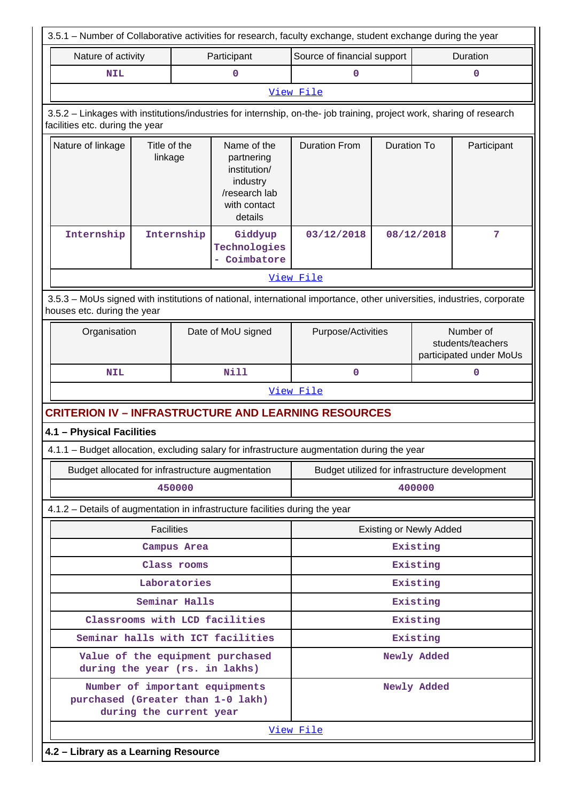| 3.5.1 – Number of Collaborative activities for research, faculty exchange, student exchange during the year                                           |                                                                                                                                                          |               |                                                                                                   |                                                |                    |                                                           |             |  |  |  |
|-------------------------------------------------------------------------------------------------------------------------------------------------------|----------------------------------------------------------------------------------------------------------------------------------------------------------|---------------|---------------------------------------------------------------------------------------------------|------------------------------------------------|--------------------|-----------------------------------------------------------|-------------|--|--|--|
| Nature of activity                                                                                                                                    |                                                                                                                                                          |               | Participant                                                                                       | Source of financial support                    |                    |                                                           | Duration    |  |  |  |
| <b>NIL</b>                                                                                                                                            |                                                                                                                                                          |               | 0                                                                                                 | 0                                              |                    |                                                           | 0           |  |  |  |
|                                                                                                                                                       |                                                                                                                                                          |               |                                                                                                   | View File                                      |                    |                                                           |             |  |  |  |
|                                                                                                                                                       | 3.5.2 - Linkages with institutions/industries for internship, on-the- job training, project work, sharing of research<br>facilities etc. during the year |               |                                                                                                   |                                                |                    |                                                           |             |  |  |  |
| Nature of linkage                                                                                                                                     | Title of the<br>linkage                                                                                                                                  |               | Name of the<br>partnering<br>institution/<br>industry<br>/research lab<br>with contact<br>details | <b>Duration From</b>                           | <b>Duration To</b> |                                                           | Participant |  |  |  |
| Internship                                                                                                                                            | Internship                                                                                                                                               |               | Giddyup<br>Technologies<br>Coimbatore                                                             | 03/12/2018                                     |                    | 08/12/2018                                                | 7           |  |  |  |
|                                                                                                                                                       |                                                                                                                                                          |               |                                                                                                   | View File                                      |                    |                                                           |             |  |  |  |
| 3.5.3 - MoUs signed with institutions of national, international importance, other universities, industries, corporate<br>houses etc. during the year |                                                                                                                                                          |               |                                                                                                   |                                                |                    |                                                           |             |  |  |  |
|                                                                                                                                                       | Organisation<br>Date of MoU signed                                                                                                                       |               |                                                                                                   | Purpose/Activities                             |                    | Number of<br>students/teachers<br>participated under MoUs |             |  |  |  |
| <b>NIL</b>                                                                                                                                            |                                                                                                                                                          |               | Nill                                                                                              | $\mathbf 0$                                    |                    |                                                           | $\mathbf 0$ |  |  |  |
|                                                                                                                                                       |                                                                                                                                                          |               |                                                                                                   | View File                                      |                    |                                                           |             |  |  |  |
| <b>CRITERION IV - INFRASTRUCTURE AND LEARNING RESOURCES</b>                                                                                           |                                                                                                                                                          |               |                                                                                                   |                                                |                    |                                                           |             |  |  |  |
| 4.1 - Physical Facilities                                                                                                                             |                                                                                                                                                          |               |                                                                                                   |                                                |                    |                                                           |             |  |  |  |
| 4.1.1 - Budget allocation, excluding salary for infrastructure augmentation during the year                                                           |                                                                                                                                                          |               |                                                                                                   |                                                |                    |                                                           |             |  |  |  |
|                                                                                                                                                       |                                                                                                                                                          |               | Budget allocated for infrastructure augmentation                                                  | Budget utilized for infrastructure development |                    |                                                           |             |  |  |  |
|                                                                                                                                                       |                                                                                                                                                          | 450000        |                                                                                                   | 400000                                         |                    |                                                           |             |  |  |  |
| 4.1.2 - Details of augmentation in infrastructure facilities during the year                                                                          |                                                                                                                                                          |               |                                                                                                   |                                                |                    |                                                           |             |  |  |  |
|                                                                                                                                                       | <b>Facilities</b>                                                                                                                                        |               |                                                                                                   | <b>Existing or Newly Added</b>                 |                    |                                                           |             |  |  |  |
|                                                                                                                                                       |                                                                                                                                                          | Campus Area   |                                                                                                   |                                                |                    | Existing                                                  |             |  |  |  |
|                                                                                                                                                       |                                                                                                                                                          | Class rooms   |                                                                                                   |                                                |                    | Existing                                                  |             |  |  |  |
|                                                                                                                                                       |                                                                                                                                                          | Laboratories  |                                                                                                   |                                                |                    | Existing                                                  |             |  |  |  |
|                                                                                                                                                       |                                                                                                                                                          | Seminar Halls |                                                                                                   |                                                |                    | Existing                                                  |             |  |  |  |
|                                                                                                                                                       |                                                                                                                                                          |               | Classrooms with LCD facilities                                                                    |                                                |                    | Existing                                                  |             |  |  |  |
|                                                                                                                                                       |                                                                                                                                                          |               | Seminar halls with ICT facilities                                                                 |                                                |                    | Existing                                                  |             |  |  |  |
| during the year (rs. in lakhs)                                                                                                                        |                                                                                                                                                          |               | Value of the equipment purchased                                                                  | Newly Added                                    |                    |                                                           |             |  |  |  |
| purchased (Greater than 1-0 lakh)<br>during the current year                                                                                          | Number of important equipments                                                                                                                           |               |                                                                                                   | Newly Added                                    |                    |                                                           |             |  |  |  |
|                                                                                                                                                       |                                                                                                                                                          |               |                                                                                                   | View File                                      |                    |                                                           |             |  |  |  |
| 4.2 - Library as a Learning Resource                                                                                                                  |                                                                                                                                                          |               |                                                                                                   |                                                |                    |                                                           |             |  |  |  |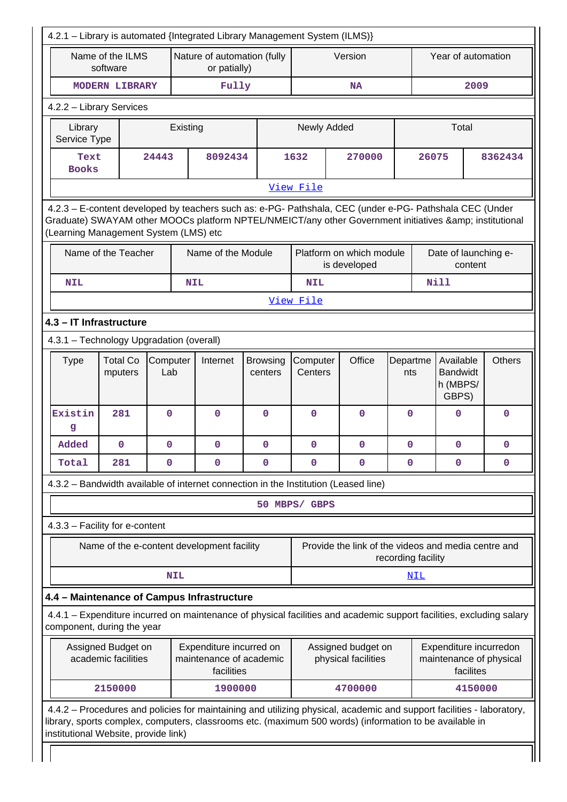| 4.2.1 - Library is automated {Integrated Library Management System (ILMS)}                                                                                                                                                                                               |                                                                                                                                                                                                                                                         |   |            |                                             |                                           |                                                                           |  |                                                                |                 |                    |                                                   |         |               |
|--------------------------------------------------------------------------------------------------------------------------------------------------------------------------------------------------------------------------------------------------------------------------|---------------------------------------------------------------------------------------------------------------------------------------------------------------------------------------------------------------------------------------------------------|---|------------|---------------------------------------------|-------------------------------------------|---------------------------------------------------------------------------|--|----------------------------------------------------------------|-----------------|--------------------|---------------------------------------------------|---------|---------------|
|                                                                                                                                                                                                                                                                          | Name of the ILMS<br>software                                                                                                                                                                                                                            |   |            | Nature of automation (fully<br>or patially) |                                           |                                                                           |  | Version                                                        |                 | Year of automation |                                                   |         |               |
|                                                                                                                                                                                                                                                                          | <b>MODERN LIBRARY</b>                                                                                                                                                                                                                                   |   |            | Fully                                       |                                           |                                                                           |  | <b>NA</b>                                                      |                 | 2009               |                                                   |         |               |
| 4.2.2 - Library Services                                                                                                                                                                                                                                                 |                                                                                                                                                                                                                                                         |   |            |                                             |                                           |                                                                           |  |                                                                |                 |                    |                                                   |         |               |
| Library<br>Service Type                                                                                                                                                                                                                                                  |                                                                                                                                                                                                                                                         |   | Existing   |                                             |                                           | Newly Added                                                               |  |                                                                |                 |                    | Total                                             |         |               |
| <b>Books</b>                                                                                                                                                                                                                                                             | 24443<br>Text                                                                                                                                                                                                                                           |   |            | 8092434                                     |                                           | 1632                                                                      |  | 270000                                                         |                 | 26075              |                                                   | 8362434 |               |
|                                                                                                                                                                                                                                                                          |                                                                                                                                                                                                                                                         |   |            |                                             |                                           | View File                                                                 |  |                                                                |                 |                    |                                                   |         |               |
|                                                                                                                                                                                                                                                                          | 4.2.3 - E-content developed by teachers such as: e-PG- Pathshala, CEC (under e-PG- Pathshala CEC (Under<br>Graduate) SWAYAM other MOOCs platform NPTEL/NMEICT/any other Government initiatives & institutional<br>(Learning Management System (LMS) etc |   |            |                                             |                                           |                                                                           |  |                                                                |                 |                    |                                                   |         |               |
|                                                                                                                                                                                                                                                                          | Name of the Teacher                                                                                                                                                                                                                                     |   |            | Name of the Module                          |                                           |                                                                           |  | Platform on which module<br>is developed                       |                 |                    | Date of launching e-                              | content |               |
| <b>NIL</b>                                                                                                                                                                                                                                                               |                                                                                                                                                                                                                                                         |   | <b>NIL</b> |                                             |                                           | <b>NIL</b>                                                                |  |                                                                |                 |                    | <b>Nill</b>                                       |         |               |
|                                                                                                                                                                                                                                                                          |                                                                                                                                                                                                                                                         |   |            |                                             |                                           | View File                                                                 |  |                                                                |                 |                    |                                                   |         |               |
| 4.3 - IT Infrastructure                                                                                                                                                                                                                                                  |                                                                                                                                                                                                                                                         |   |            |                                             |                                           |                                                                           |  |                                                                |                 |                    |                                                   |         |               |
| 4.3.1 - Technology Upgradation (overall)                                                                                                                                                                                                                                 |                                                                                                                                                                                                                                                         |   |            |                                             |                                           |                                                                           |  |                                                                |                 |                    |                                                   |         |               |
| <b>Type</b>                                                                                                                                                                                                                                                              | <b>Total Co</b><br>Computer<br>mputers<br>Lab                                                                                                                                                                                                           |   | Internet   |                                             | <b>Browsing</b><br>centers                | Computer<br>Centers                                                       |  | Office                                                         | Departme<br>nts |                    | Available<br><b>Bandwidt</b><br>h (MBPS/<br>GBPS) |         | <b>Others</b> |
| Existin<br>g                                                                                                                                                                                                                                                             | 281                                                                                                                                                                                                                                                     | 0 |            | $\mathbf 0$                                 | $\mathbf 0$                               | $\mathbf 0$                                                               |  | 0                                                              | $\mathbf{0}$    |                    | $\mathbf{0}$                                      |         | $\mathbf 0$   |
| Added                                                                                                                                                                                                                                                                    | $\mathbf 0$                                                                                                                                                                                                                                             | 0 |            | $\mathbf 0$                                 | 0                                         | $\mathbf 0$                                                               |  | 0                                                              | $\mathbf 0$     |                    | 0                                                 |         | $\mathbf 0$   |
| Total                                                                                                                                                                                                                                                                    | 281                                                                                                                                                                                                                                                     | 0 |            | $\mathbf{0}$                                | 0                                         | $\mathbf 0$                                                               |  | $\mathbf 0$                                                    | $\mathbf 0$     |                    | 0                                                 |         | $\mathbf 0$   |
| 4.3.2 - Bandwidth available of internet connection in the Institution (Leased line)                                                                                                                                                                                      |                                                                                                                                                                                                                                                         |   |            |                                             |                                           |                                                                           |  |                                                                |                 |                    |                                                   |         |               |
|                                                                                                                                                                                                                                                                          |                                                                                                                                                                                                                                                         |   |            |                                             |                                           | 50 MBPS/ GBPS                                                             |  |                                                                |                 |                    |                                                   |         |               |
| 4.3.3 - Facility for e-content                                                                                                                                                                                                                                           |                                                                                                                                                                                                                                                         |   |            |                                             |                                           |                                                                           |  |                                                                |                 |                    |                                                   |         |               |
|                                                                                                                                                                                                                                                                          |                                                                                                                                                                                                                                                         |   |            | Name of the e-content development facility  |                                           | Provide the link of the videos and media centre and<br>recording facility |  |                                                                |                 |                    |                                                   |         |               |
|                                                                                                                                                                                                                                                                          |                                                                                                                                                                                                                                                         |   | <b>NIL</b> |                                             |                                           |                                                                           |  |                                                                |                 | <u>NIL</u>         |                                                   |         |               |
| 4.4 - Maintenance of Campus Infrastructure                                                                                                                                                                                                                               |                                                                                                                                                                                                                                                         |   |            |                                             |                                           |                                                                           |  |                                                                |                 |                    |                                                   |         |               |
| 4.4.1 – Expenditure incurred on maintenance of physical facilities and academic support facilities, excluding salary<br>component, during the year                                                                                                                       |                                                                                                                                                                                                                                                         |   |            |                                             |                                           |                                                                           |  |                                                                |                 |                    |                                                   |         |               |
|                                                                                                                                                                                                                                                                          | Expenditure incurred on<br>Assigned Budget on<br>academic facilities<br>maintenance of academic<br>facilities                                                                                                                                           |   |            |                                             | Assigned budget on<br>physical facilities |                                                                           |  | Expenditure incurredon<br>maintenance of physical<br>facilites |                 |                    |                                                   |         |               |
|                                                                                                                                                                                                                                                                          | 2150000                                                                                                                                                                                                                                                 |   |            | 1900000                                     |                                           |                                                                           |  | 4700000                                                        |                 |                    |                                                   | 4150000 |               |
| 4.4.2 - Procedures and policies for maintaining and utilizing physical, academic and support facilities - laboratory,<br>library, sports complex, computers, classrooms etc. (maximum 500 words) (information to be available in<br>institutional Website, provide link) |                                                                                                                                                                                                                                                         |   |            |                                             |                                           |                                                                           |  |                                                                |                 |                    |                                                   |         |               |

 $\perp$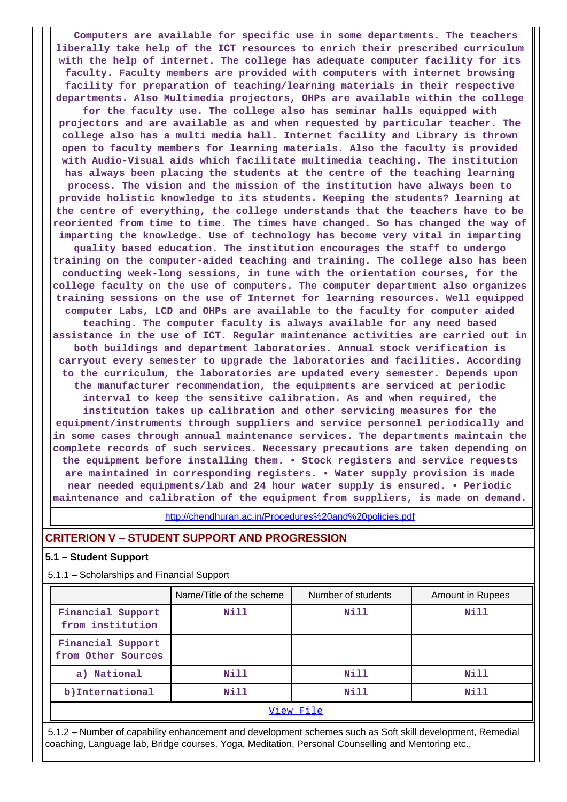**Computers are available for specific use in some departments. The teachers liberally take help of the ICT resources to enrich their prescribed curriculum with the help of internet. The college has adequate computer facility for its faculty. Faculty members are provided with computers with internet browsing facility for preparation of teaching/learning materials in their respective departments. Also Multimedia projectors, OHPs are available within the college**

**for the faculty use. The college also has seminar halls equipped with projectors and are available as and when requested by particular teacher. The college also has a multi media hall. Internet facility and Library is thrown open to faculty members for learning materials. Also the faculty is provided with Audio-Visual aids which facilitate multimedia teaching. The institution has always been placing the students at the centre of the teaching learning process. The vision and the mission of the institution have always been to provide holistic knowledge to its students. Keeping the students? learning at the centre of everything, the college understands that the teachers have to be reoriented from time to time. The times have changed. So has changed the way of imparting the knowledge. Use of technology has become very vital in imparting quality based education. The institution encourages the staff to undergo training on the computer-aided teaching and training. The college also has been conducting week-long sessions, in tune with the orientation courses, for the college faculty on the use of computers. The computer department also organizes training sessions on the use of Internet for learning resources. Well equipped computer Labs, LCD and OHPs are available to the faculty for computer aided teaching. The computer faculty is always available for any need based**

**assistance in the use of ICT. Regular maintenance activities are carried out in both buildings and department laboratories. Annual stock verification is carryout every semester to upgrade the laboratories and facilities. According to the curriculum, the laboratories are updated every semester. Depends upon the manufacturer recommendation, the equipments are serviced at periodic interval to keep the sensitive calibration. As and when required, the**

**institution takes up calibration and other servicing measures for the equipment/instruments through suppliers and service personnel periodically and in some cases through annual maintenance services. The departments maintain the complete records of such services. Necessary precautions are taken depending on the equipment before installing them. • Stock registers and service requests are maintained in corresponding registers. • Water supply provision is made near needed equipments/lab and 24 hour water supply is ensured. • Periodic maintenance and calibration of the equipment from suppliers, is made on demand.**

<http://chendhuran.ac.in/Procedures%20and%20policies.pdf>

### **CRITERION V – STUDENT SUPPORT AND PROGRESSION**

#### **5.1 – Student Support**

5.1.1 – Scholarships and Financial Support

|                                         | Name/Title of the scheme | Number of students | <b>Amount in Rupees</b> |  |  |  |  |
|-----------------------------------------|--------------------------|--------------------|-------------------------|--|--|--|--|
| Financial Support<br>from institution   | Nill                     | Nill               | <b>Nill</b>             |  |  |  |  |
| Financial Support<br>from Other Sources |                          |                    |                         |  |  |  |  |
| a) National                             | Nill                     | Nill               | Nill                    |  |  |  |  |
| b) International                        | Nill                     | Nill               | Nill                    |  |  |  |  |
| View File                               |                          |                    |                         |  |  |  |  |

 5.1.2 – Number of capability enhancement and development schemes such as Soft skill development, Remedial coaching, Language lab, Bridge courses, Yoga, Meditation, Personal Counselling and Mentoring etc.,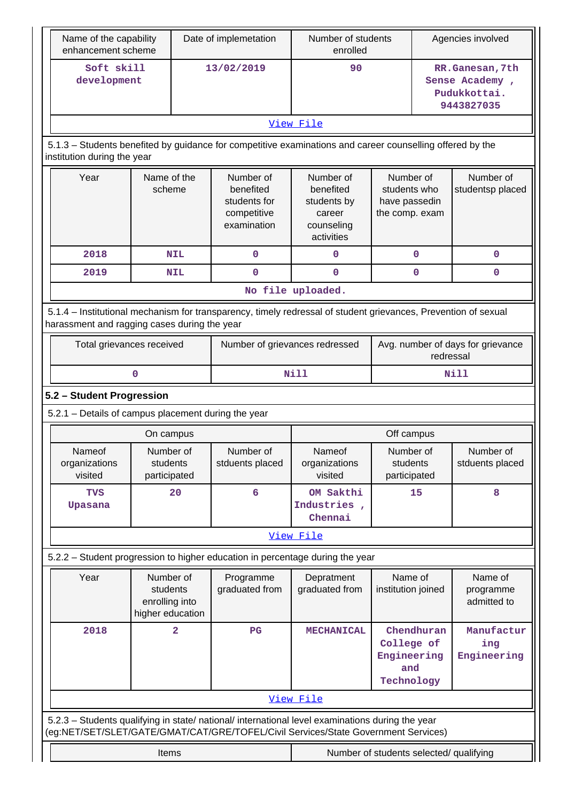| Name of the capability<br>enhancement scheme                                                                                                                   |                                                             |            | Date of implemetation                                                | Number of students<br>enrolled                                                                                                                                                         |                                                              | Agencies involved                                               |                                                |  |
|----------------------------------------------------------------------------------------------------------------------------------------------------------------|-------------------------------------------------------------|------------|----------------------------------------------------------------------|----------------------------------------------------------------------------------------------------------------------------------------------------------------------------------------|--------------------------------------------------------------|-----------------------------------------------------------------|------------------------------------------------|--|
| Soft skill<br>development                                                                                                                                      |                                                             |            | 13/02/2019                                                           | 90                                                                                                                                                                                     |                                                              | RR.Ganesan, 7th<br>Sense Academy,<br>Pudukkottai.<br>9443827035 |                                                |  |
|                                                                                                                                                                |                                                             |            |                                                                      | View File                                                                                                                                                                              |                                                              |                                                                 |                                                |  |
| 5.1.3 - Students benefited by guidance for competitive examinations and career counselling offered by the<br>institution during the year                       |                                                             |            |                                                                      |                                                                                                                                                                                        |                                                              |                                                                 |                                                |  |
| Year                                                                                                                                                           | Name of the<br>scheme                                       |            | Number of<br>benefited<br>students for<br>competitive<br>examination | Number of<br>benefited<br>students by<br>career<br>counseling<br>activities                                                                                                            | Number of<br>students who<br>have passedin<br>the comp. exam |                                                                 | Number of<br>studentsp placed                  |  |
| 2018                                                                                                                                                           |                                                             | <b>NIL</b> | 0                                                                    | $\mathbf 0$                                                                                                                                                                            |                                                              | $\mathbf 0$                                                     | 0                                              |  |
| 2019                                                                                                                                                           |                                                             | <b>NIL</b> | $\mathbf 0$                                                          | $\mathbf 0$                                                                                                                                                                            |                                                              | 0                                                               | 0                                              |  |
|                                                                                                                                                                |                                                             |            |                                                                      | No file uploaded.                                                                                                                                                                      |                                                              |                                                                 |                                                |  |
| 5.1.4 - Institutional mechanism for transparency, timely redressal of student grievances, Prevention of sexual<br>harassment and ragging cases during the year |                                                             |            |                                                                      |                                                                                                                                                                                        |                                                              |                                                                 |                                                |  |
|                                                                                                                                                                | Total grievances received                                   |            |                                                                      | Number of grievances redressed                                                                                                                                                         |                                                              |                                                                 | Avg. number of days for grievance<br>redressal |  |
|                                                                                                                                                                | $\mathbf 0$                                                 |            |                                                                      | <b>Nill</b>                                                                                                                                                                            |                                                              |                                                                 | Nill                                           |  |
| 5.2 - Student Progression                                                                                                                                      |                                                             |            |                                                                      |                                                                                                                                                                                        |                                                              |                                                                 |                                                |  |
| 5.2.1 - Details of campus placement during the year                                                                                                            |                                                             |            |                                                                      |                                                                                                                                                                                        |                                                              |                                                                 |                                                |  |
|                                                                                                                                                                | On campus                                                   |            |                                                                      |                                                                                                                                                                                        | Off campus                                                   |                                                                 |                                                |  |
| Nameof<br>organizations<br>visited                                                                                                                             | Number of<br>students<br>participated                       |            | Number of<br>stduents placed                                         | Nameof<br>organizations<br>visited                                                                                                                                                     | Number of<br>students<br>participated                        |                                                                 | Number of<br>stduents placed                   |  |
| <b>TVS</b><br>Upasana                                                                                                                                          |                                                             | 20         | 6                                                                    | OM Sakthi<br>Industries,<br>Chennai                                                                                                                                                    | 15                                                           |                                                                 | 8                                              |  |
|                                                                                                                                                                |                                                             |            |                                                                      | View File                                                                                                                                                                              |                                                              |                                                                 |                                                |  |
| 5.2.2 - Student progression to higher education in percentage during the year                                                                                  |                                                             |            |                                                                      |                                                                                                                                                                                        |                                                              |                                                                 |                                                |  |
| Year                                                                                                                                                           | Number of<br>students<br>enrolling into<br>higher education |            | Programme<br>graduated from                                          | Depratment<br>graduated from                                                                                                                                                           | Name of<br>institution joined                                |                                                                 | Name of<br>programme<br>admitted to            |  |
| 2018                                                                                                                                                           | $\overline{\mathbf{2}}$                                     |            | $_{\rm PG}$                                                          | <b>MECHANICAL</b>                                                                                                                                                                      | Chendhuran<br>College of<br>Engineering<br>and<br>Technology |                                                                 | Manufactur<br>ing<br>Engineering               |  |
|                                                                                                                                                                |                                                             |            |                                                                      | View File                                                                                                                                                                              |                                                              |                                                                 |                                                |  |
|                                                                                                                                                                |                                                             |            |                                                                      | 5.2.3 - Students qualifying in state/ national/ international level examinations during the year<br>(eg:NET/SET/SLET/GATE/GMAT/CAT/GRE/TOFEL/Civil Services/State Government Services) |                                                              |                                                                 |                                                |  |
|                                                                                                                                                                | Items                                                       |            |                                                                      | Number of students selected/ qualifying                                                                                                                                                |                                                              |                                                                 |                                                |  |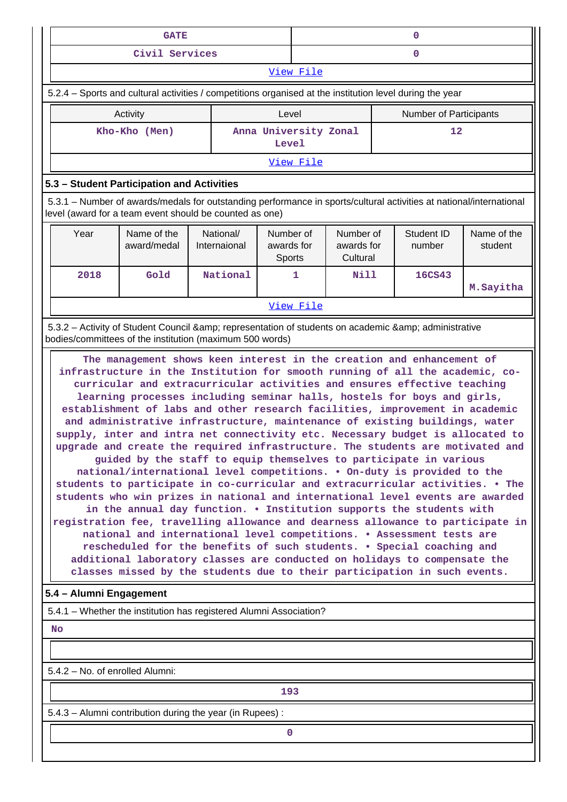|                                                                                                                                                                                                                                                                                                                                                                                                                                                                                                                                                                                                                                                                                                                                                                                                                                                                                                                                                                                                                                                                                                                                                                                                                                                                                                                                                                                                                                                                                                                                                                                                                       | <b>GATE</b>                                                                                             |                           |                                   | $\mathbf 0$            |                                     |  |                      |                        |  |
|-----------------------------------------------------------------------------------------------------------------------------------------------------------------------------------------------------------------------------------------------------------------------------------------------------------------------------------------------------------------------------------------------------------------------------------------------------------------------------------------------------------------------------------------------------------------------------------------------------------------------------------------------------------------------------------------------------------------------------------------------------------------------------------------------------------------------------------------------------------------------------------------------------------------------------------------------------------------------------------------------------------------------------------------------------------------------------------------------------------------------------------------------------------------------------------------------------------------------------------------------------------------------------------------------------------------------------------------------------------------------------------------------------------------------------------------------------------------------------------------------------------------------------------------------------------------------------------------------------------------------|---------------------------------------------------------------------------------------------------------|---------------------------|-----------------------------------|------------------------|-------------------------------------|--|----------------------|------------------------|--|
|                                                                                                                                                                                                                                                                                                                                                                                                                                                                                                                                                                                                                                                                                                                                                                                                                                                                                                                                                                                                                                                                                                                                                                                                                                                                                                                                                                                                                                                                                                                                                                                                                       | Civil Services                                                                                          |                           |                                   | $\mathbf{0}$           |                                     |  |                      |                        |  |
|                                                                                                                                                                                                                                                                                                                                                                                                                                                                                                                                                                                                                                                                                                                                                                                                                                                                                                                                                                                                                                                                                                                                                                                                                                                                                                                                                                                                                                                                                                                                                                                                                       |                                                                                                         |                           |                                   | View File              |                                     |  |                      |                        |  |
| 5.2.4 - Sports and cultural activities / competitions organised at the institution level during the year                                                                                                                                                                                                                                                                                                                                                                                                                                                                                                                                                                                                                                                                                                                                                                                                                                                                                                                                                                                                                                                                                                                                                                                                                                                                                                                                                                                                                                                                                                              |                                                                                                         |                           |                                   |                        |                                     |  |                      |                        |  |
|                                                                                                                                                                                                                                                                                                                                                                                                                                                                                                                                                                                                                                                                                                                                                                                                                                                                                                                                                                                                                                                                                                                                                                                                                                                                                                                                                                                                                                                                                                                                                                                                                       | Activity                                                                                                |                           | Level                             | Number of Participants |                                     |  |                      |                        |  |
|                                                                                                                                                                                                                                                                                                                                                                                                                                                                                                                                                                                                                                                                                                                                                                                                                                                                                                                                                                                                                                                                                                                                                                                                                                                                                                                                                                                                                                                                                                                                                                                                                       | Kho-Kho (Men)                                                                                           |                           | Anna University Zonal<br>Level    |                        |                                     |  | 12                   |                        |  |
|                                                                                                                                                                                                                                                                                                                                                                                                                                                                                                                                                                                                                                                                                                                                                                                                                                                                                                                                                                                                                                                                                                                                                                                                                                                                                                                                                                                                                                                                                                                                                                                                                       |                                                                                                         |                           |                                   | View File              |                                     |  |                      |                        |  |
| 5.3 - Student Participation and Activities                                                                                                                                                                                                                                                                                                                                                                                                                                                                                                                                                                                                                                                                                                                                                                                                                                                                                                                                                                                                                                                                                                                                                                                                                                                                                                                                                                                                                                                                                                                                                                            |                                                                                                         |                           |                                   |                        |                                     |  |                      |                        |  |
| 5.3.1 – Number of awards/medals for outstanding performance in sports/cultural activities at national/international<br>level (award for a team event should be counted as one)                                                                                                                                                                                                                                                                                                                                                                                                                                                                                                                                                                                                                                                                                                                                                                                                                                                                                                                                                                                                                                                                                                                                                                                                                                                                                                                                                                                                                                        |                                                                                                         |                           |                                   |                        |                                     |  |                      |                        |  |
| Year                                                                                                                                                                                                                                                                                                                                                                                                                                                                                                                                                                                                                                                                                                                                                                                                                                                                                                                                                                                                                                                                                                                                                                                                                                                                                                                                                                                                                                                                                                                                                                                                                  | Name of the<br>award/medal                                                                              | National/<br>Internaional | Number of<br>awards for<br>Sports |                        | Number of<br>awards for<br>Cultural |  | Student ID<br>number | Name of the<br>student |  |
| 2018                                                                                                                                                                                                                                                                                                                                                                                                                                                                                                                                                                                                                                                                                                                                                                                                                                                                                                                                                                                                                                                                                                                                                                                                                                                                                                                                                                                                                                                                                                                                                                                                                  | Gold                                                                                                    | National                  |                                   | 1                      | <b>Nill</b>                         |  | 16CS43               | M. Sayitha             |  |
|                                                                                                                                                                                                                                                                                                                                                                                                                                                                                                                                                                                                                                                                                                                                                                                                                                                                                                                                                                                                                                                                                                                                                                                                                                                                                                                                                                                                                                                                                                                                                                                                                       |                                                                                                         |                           |                                   | View File              |                                     |  |                      |                        |  |
|                                                                                                                                                                                                                                                                                                                                                                                                                                                                                                                                                                                                                                                                                                                                                                                                                                                                                                                                                                                                                                                                                                                                                                                                                                                                                                                                                                                                                                                                                                                                                                                                                       | 5.3.2 - Activity of Student Council & amp; representation of students on academic & amp; administrative |                           |                                   |                        |                                     |  |                      |                        |  |
| bodies/committees of the institution (maximum 500 words)<br>The management shows keen interest in the creation and enhancement of<br>infrastructure in the Institution for smooth running of all the academic, co-<br>curricular and extracurricular activities and ensures effective teaching<br>learning processes including seminar halls, hostels for boys and girls,<br>establishment of labs and other research facilities, improvement in academic<br>and administrative infrastructure, maintenance of existing buildings, water<br>supply, inter and intra net connectivity etc. Necessary budget is allocated to<br>upgrade and create the required infrastructure. The students are motivated and<br>guided by the staff to equip themselves to participate in various<br>national/international level competitions. • On-duty is provided to the<br>students to participate in co-curricular and extracurricular activities. . The<br>students who win prizes in national and international level events are awarded<br>in the annual day function. . Institution supports the students with<br>registration fee, travelling allowance and dearness allowance to participate in<br>national and international level competitions. • Assessment tests are<br>rescheduled for the benefits of such students. . Special coaching and<br>additional laboratory classes are conducted on holidays to compensate the<br>classes missed by the students due to their participation in such events.<br>5.4 - Alumni Engagement<br>5.4.1 - Whether the institution has registered Alumni Association?<br><b>No</b> |                                                                                                         |                           |                                   |                        |                                     |  |                      |                        |  |
| 5.4.2 - No. of enrolled Alumni:                                                                                                                                                                                                                                                                                                                                                                                                                                                                                                                                                                                                                                                                                                                                                                                                                                                                                                                                                                                                                                                                                                                                                                                                                                                                                                                                                                                                                                                                                                                                                                                       |                                                                                                         |                           |                                   |                        |                                     |  |                      |                        |  |
|                                                                                                                                                                                                                                                                                                                                                                                                                                                                                                                                                                                                                                                                                                                                                                                                                                                                                                                                                                                                                                                                                                                                                                                                                                                                                                                                                                                                                                                                                                                                                                                                                       |                                                                                                         |                           | 193                               |                        |                                     |  |                      |                        |  |
|                                                                                                                                                                                                                                                                                                                                                                                                                                                                                                                                                                                                                                                                                                                                                                                                                                                                                                                                                                                                                                                                                                                                                                                                                                                                                                                                                                                                                                                                                                                                                                                                                       | 5.4.3 - Alumni contribution during the year (in Rupees):                                                |                           |                                   |                        |                                     |  |                      |                        |  |
|                                                                                                                                                                                                                                                                                                                                                                                                                                                                                                                                                                                                                                                                                                                                                                                                                                                                                                                                                                                                                                                                                                                                                                                                                                                                                                                                                                                                                                                                                                                                                                                                                       |                                                                                                         |                           | $\mathbf 0$                       |                        |                                     |  |                      |                        |  |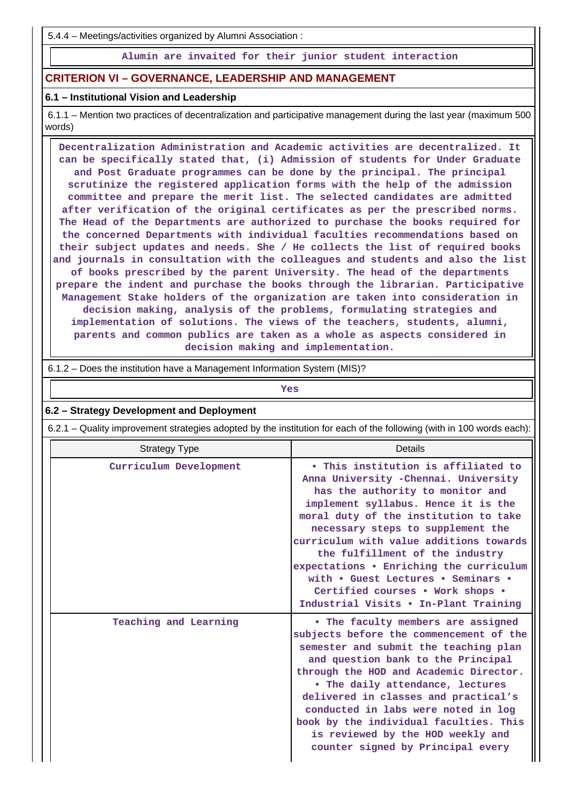5.4.4 – Meetings/activities organized by Alumni Association :

**Alumin are invaited for their junior student interaction**

# **CRITERION VI – GOVERNANCE, LEADERSHIP AND MANAGEMENT**

### **6.1 – Institutional Vision and Leadership**

 6.1.1 – Mention two practices of decentralization and participative management during the last year (maximum 500 words)

 **Decentralization Administration and Academic activities are decentralized. It can be specifically stated that, (i) Admission of students for Under Graduate and Post Graduate programmes can be done by the principal. The principal scrutinize the registered application forms with the help of the admission committee and prepare the merit list. The selected candidates are admitted after verification of the original certificates as per the prescribed norms. The Head of the Departments are authorized to purchase the books required for the concerned Departments with individual faculties recommendations based on their subject updates and needs. She / He collects the list of required books and journals in consultation with the colleagues and students and also the list of books prescribed by the parent University. The head of the departments prepare the indent and purchase the books through the librarian. Participative Management Stake holders of the organization are taken into consideration in decision making, analysis of the problems, formulating strategies and implementation of solutions. The views of the teachers, students, alumni, parents and common publics are taken as a whole as aspects considered in decision making and implementation.**

6.1.2 – Does the institution have a Management Information System (MIS)?

*Yes* 

#### **6.2 – Strategy Development and Deployment**

6.2.1 – Quality improvement strategies adopted by the institution for each of the following (with in 100 words each):

| <b>Strategy Type</b>   | <b>Details</b>                                                                                                                                                                                                                                                                                                                                                                                                                                                                    |
|------------------------|-----------------------------------------------------------------------------------------------------------------------------------------------------------------------------------------------------------------------------------------------------------------------------------------------------------------------------------------------------------------------------------------------------------------------------------------------------------------------------------|
| Curriculum Development | • This institution is affiliated to<br>Anna University - Chennai. University<br>has the authority to monitor and<br>implement syllabus. Hence it is the<br>moral duty of the institution to take<br>necessary steps to supplement the<br>curriculum with value additions towards<br>the fulfillment of the industry<br>expectations • Enriching the curriculum<br>with . Guest Lectures . Seminars .<br>Certified courses . Work shops .<br>Industrial Visits . In-Plant Training |
| Teaching and Learning  | • The faculty members are assigned<br>subjects before the commencement of the<br>semester and submit the teaching plan<br>and question bank to the Principal<br>through the HOD and Academic Director.<br>• The daily attendance, lectures<br>delivered in classes and practical's<br>conducted in labs were noted in log<br>book by the individual faculties. This<br>is reviewed by the HOD weekly and<br>counter signed by Principal every                                     |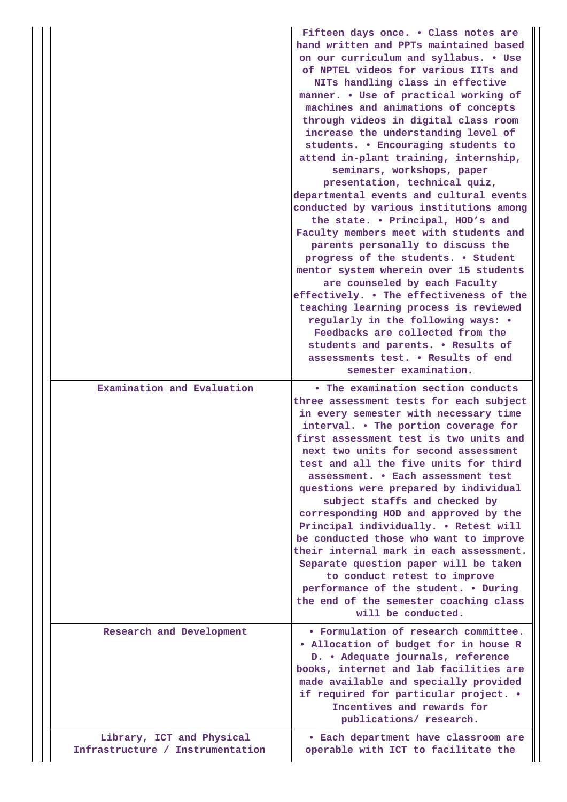|                                                               | Fifteen days once. . Class notes are<br>hand written and PPTs maintained based<br>on our curriculum and syllabus. . Use<br>of NPTEL videos for various IITs and<br>NITs handling class in effective<br>manner. . Use of practical working of<br>machines and animations of concepts<br>through videos in digital class room<br>increase the understanding level of<br>students. . Encouraging students to<br>attend in-plant training, internship,<br>seminars, workshops, paper<br>presentation, technical quiz,<br>departmental events and cultural events<br>conducted by various institutions among<br>the state. . Principal, HOD's and<br>Faculty members meet with students and<br>parents personally to discuss the<br>progress of the students. . Student<br>mentor system wherein over 15 students<br>are counseled by each Faculty<br>effectively. . The effectiveness of the<br>teaching learning process is reviewed<br>regularly in the following ways: •<br>Feedbacks are collected from the<br>students and parents. . Results of<br>assessments test. . Results of end<br>semester examination. |
|---------------------------------------------------------------|------------------------------------------------------------------------------------------------------------------------------------------------------------------------------------------------------------------------------------------------------------------------------------------------------------------------------------------------------------------------------------------------------------------------------------------------------------------------------------------------------------------------------------------------------------------------------------------------------------------------------------------------------------------------------------------------------------------------------------------------------------------------------------------------------------------------------------------------------------------------------------------------------------------------------------------------------------------------------------------------------------------------------------------------------------------------------------------------------------------|
| Examination and Evaluation                                    | • The examination section conducts<br>three assessment tests for each subject<br>in every semester with necessary time<br>interval. . The portion coverage for<br>first assessment test is two units and<br>next two units for second assessment<br>test and all the five units for third<br>assessment. . Each assessment test<br>questions were prepared by individual<br>subject staffs and checked by<br>corresponding HOD and approved by the<br>Principal individually. . Retest will<br>be conducted those who want to improve<br>their internal mark in each assessment.<br>Separate question paper will be taken<br>to conduct retest to improve<br>performance of the student. . During<br>the end of the semester coaching class<br>will be conducted.                                                                                                                                                                                                                                                                                                                                                |
| Research and Development                                      | • Formulation of research committee.<br>. Allocation of budget for in house R<br>D. • Adequate journals, reference<br>books, internet and lab facilities are<br>made available and specially provided<br>if required for particular project. .<br>Incentives and rewards for<br>publications/ research.                                                                                                                                                                                                                                                                                                                                                                                                                                                                                                                                                                                                                                                                                                                                                                                                          |
| Library, ICT and Physical<br>Infrastructure / Instrumentation | • Each department have classroom are<br>operable with ICT to facilitate the                                                                                                                                                                                                                                                                                                                                                                                                                                                                                                                                                                                                                                                                                                                                                                                                                                                                                                                                                                                                                                      |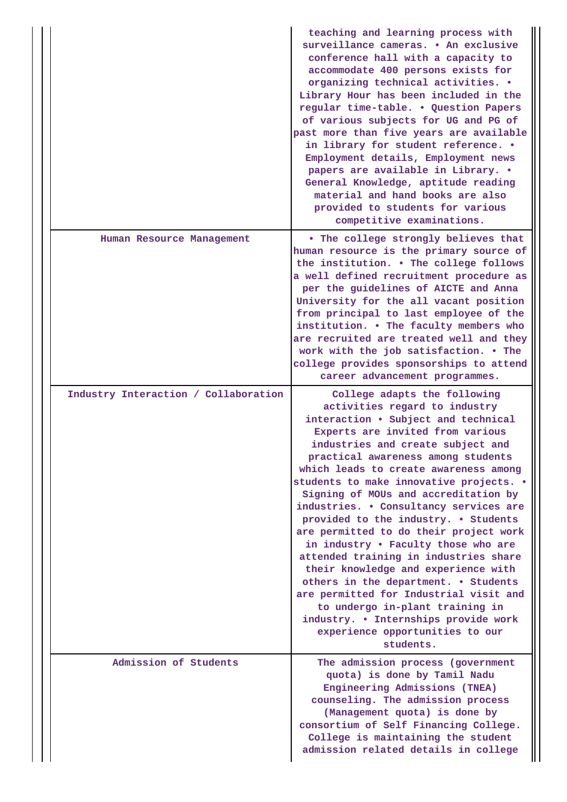|                                      | teaching and learning process with<br>surveillance cameras. • An exclusive<br>conference hall with a capacity to<br>accommodate 400 persons exists for<br>organizing technical activities. .<br>Library Hour has been included in the<br>regular time-table. . Question Papers<br>of various subjects for UG and PG of<br>past more than five years are available<br>in library for student reference. .<br>Employment details, Employment news<br>papers are available in Library. .<br>General Knowledge, aptitude reading<br>material and hand books are also<br>provided to students for various<br>competitive examinations.                                                                                                                                                                               |
|--------------------------------------|-----------------------------------------------------------------------------------------------------------------------------------------------------------------------------------------------------------------------------------------------------------------------------------------------------------------------------------------------------------------------------------------------------------------------------------------------------------------------------------------------------------------------------------------------------------------------------------------------------------------------------------------------------------------------------------------------------------------------------------------------------------------------------------------------------------------|
| Human Resource Management            | . The college strongly believes that<br>human resource is the primary source of<br>the institution. . The college follows<br>a well defined recruitment procedure as<br>per the guidelines of AICTE and Anna<br>University for the all vacant position<br>from principal to last employee of the<br>institution. . The faculty members who<br>are recruited are treated well and they<br>work with the job satisfaction. . The<br>college provides sponsorships to attend<br>career advancement programmes.                                                                                                                                                                                                                                                                                                     |
| Industry Interaction / Collaboration | College adapts the following<br>activities regard to industry<br>interaction . Subject and technical<br>Experts are invited from various<br>industries and create subject and<br>practical awareness among students<br>which leads to create awareness among<br>students to make innovative projects. .<br>Signing of MOUs and accreditation by<br>industries. . Consultancy services are<br>provided to the industry. . Students<br>are permitted to do their project work<br>in industry . Faculty those who are<br>attended training in industries share<br>their knowledge and experience with<br>others in the department. . Students<br>are permitted for Industrial visit and<br>to undergo in-plant training in<br>industry. . Internships provide work<br>experience opportunities to our<br>students. |
| Admission of Students                | The admission process (government<br>quota) is done by Tamil Nadu<br>Engineering Admissions (TNEA)<br>counseling. The admission process<br>(Management quota) is done by<br>consortium of Self Financing College.<br>College is maintaining the student<br>admission related details in college                                                                                                                                                                                                                                                                                                                                                                                                                                                                                                                 |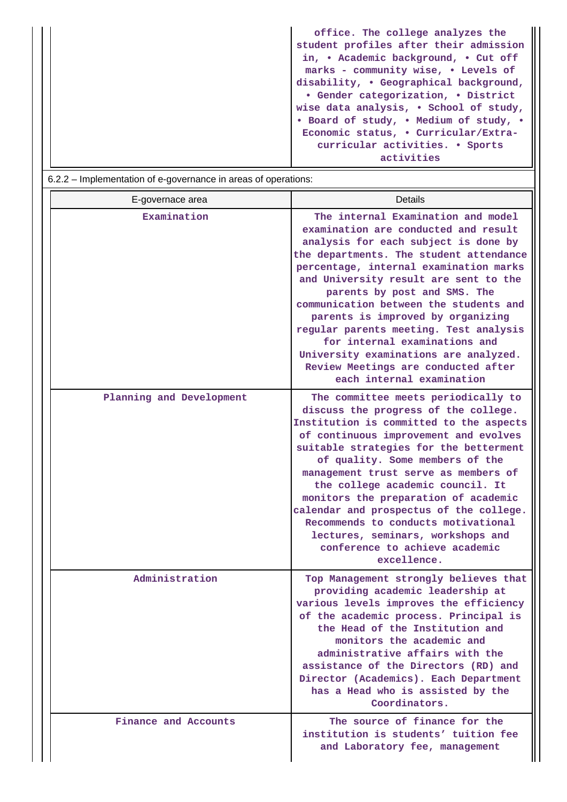| office. The college analyzes the       |
|----------------------------------------|
| student profiles after their admission |
| in, • Academic background, • Cut off   |
| marks - community wise, . Levels of    |
| disability, • Geographical background, |
| • Gender categorization, • District    |
| wise data analysis, . School of study, |
| • Board of study, • Medium of study, • |
| Economic status, . Curricular/Extra-   |
| curricular activities. • Sports        |
| activities                             |
|                                        |

| 6.2.2 – Implementation of e-governance in areas of operations: |                                                                                                                                                                                                                                                                                                                                                                                                                                                                                                                                                         |
|----------------------------------------------------------------|---------------------------------------------------------------------------------------------------------------------------------------------------------------------------------------------------------------------------------------------------------------------------------------------------------------------------------------------------------------------------------------------------------------------------------------------------------------------------------------------------------------------------------------------------------|
| E-governace area                                               | <b>Details</b>                                                                                                                                                                                                                                                                                                                                                                                                                                                                                                                                          |
| Examination                                                    | The internal Examination and model<br>examination are conducted and result<br>analysis for each subject is done by<br>the departments. The student attendance<br>percentage, internal examination marks<br>and University result are sent to the<br>parents by post and SMS. The<br>communication between the students and<br>parents is improved by organizing<br>regular parents meeting. Test analysis<br>for internal examinations and<br>University examinations are analyzed.<br>Review Meetings are conducted after<br>each internal examination |
| Planning and Development                                       | The committee meets periodically to<br>discuss the progress of the college.<br>Institution is committed to the aspects<br>of continuous improvement and evolves<br>suitable strategies for the betterment<br>of quality. Some members of the<br>management trust serve as members of<br>the college academic council. It<br>monitors the preparation of academic<br>calendar and prospectus of the college.<br>Recommends to conducts motivational<br>lectures, seminars, workshops and<br>conference to achieve academic<br>excellence.                |
| Administration                                                 | Top Management strongly believes that<br>providing academic leadership at<br>various levels improves the efficiency<br>of the academic process. Principal is<br>the Head of the Institution and<br>monitors the academic and<br>administrative affairs with the<br>assistance of the Directors (RD) and<br>Director (Academics). Each Department<br>has a Head who is assisted by the<br>Coordinators.                                                                                                                                                  |
| Finance and Accounts                                           | The source of finance for the<br>institution is students' tuition fee<br>and Laboratory fee, management                                                                                                                                                                                                                                                                                                                                                                                                                                                 |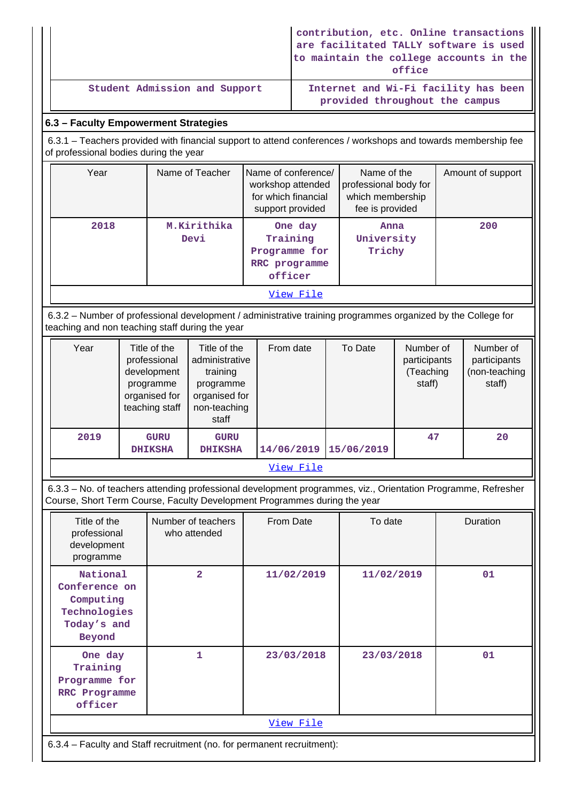|                               | contribution, etc. Online transactions<br>are facilitated TALLY software is used  <br>to maintain the college accounts in the<br>office |
|-------------------------------|-----------------------------------------------------------------------------------------------------------------------------------------|
| Student Admission and Support | Internet and Wi-Fi facility has been<br>provided throughout the campus                                                                  |

# **6.3 – Faculty Empowerment Strategies**

 6.3.1 – Teachers provided with financial support to attend conferences / workshops and towards membership fee of professional bodies during the year

| Year      | Name of Teacher     | Name of conference/<br>workshop attended<br>for which financial<br>support provided | Name of the<br>professional body for<br>which membership<br>fee is provided | Amount of support |  |  |  |
|-----------|---------------------|-------------------------------------------------------------------------------------|-----------------------------------------------------------------------------|-------------------|--|--|--|
| 2018      | M.Kirithika<br>Devi |                                                                                     | Anna<br>University<br>Trichy                                                | 200               |  |  |  |
| View File |                     |                                                                                     |                                                                             |                   |  |  |  |

 6.3.2 – Number of professional development / administrative training programmes organized by the College for teaching and non teaching staff during the year

| Year      | Title of the<br>professional<br>development<br>programme<br>organised for<br>teaching staff | Title of the<br>administrative<br>training<br>programme<br>organised for<br>non-teaching<br>staff | From date  | To Date    | Number of<br>participants<br>(Teaching<br>staff) | Number of<br>participants<br>(non-teaching<br>staff) |  |  |  |
|-----------|---------------------------------------------------------------------------------------------|---------------------------------------------------------------------------------------------------|------------|------------|--------------------------------------------------|------------------------------------------------------|--|--|--|
| 2019      | <b>GURU</b><br><b>DHIKSHA</b>                                                               | <b>GURU</b><br><b>DHIKSHA</b>                                                                     | 14/06/2019 | 15/06/2019 | 47                                               | 20                                                   |  |  |  |
| View File |                                                                                             |                                                                                                   |            |            |                                                  |                                                      |  |  |  |

 6.3.3 – No. of teachers attending professional development programmes, viz., Orientation Programme, Refresher Course, Short Term Course, Faculty Development Programmes during the year

| Title of the<br>professional<br>development<br>programme                        | Number of teachers<br>who attended | From Date  | To date    | Duration |  |  |  |  |
|---------------------------------------------------------------------------------|------------------------------------|------------|------------|----------|--|--|--|--|
| National<br>Conference on<br>Computing<br>Technologies<br>Today's and<br>Beyond | $\overline{2}$                     | 11/02/2019 | 11/02/2019 | 01       |  |  |  |  |
| One day<br>Training<br>Programme for<br>RRC Programme<br>officer                | 1                                  | 23/03/2018 | 23/03/2018 | 01       |  |  |  |  |
| View File                                                                       |                                    |            |            |          |  |  |  |  |
| 6.3.4 – Faculty and Staff recruitment (no. for permanent recruitment):          |                                    |            |            |          |  |  |  |  |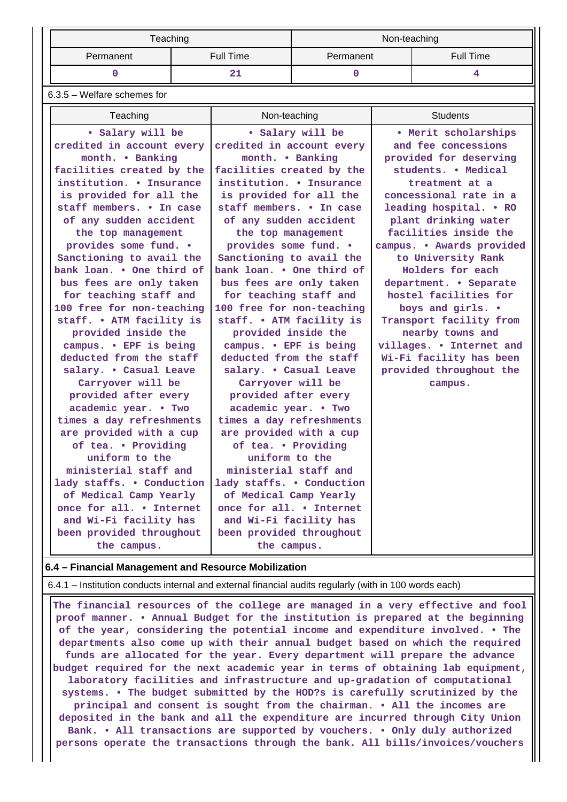|           | Teaching  | Non-teaching |           |  |  |
|-----------|-----------|--------------|-----------|--|--|
| Permanent | Full Time | Permanent    | Full Time |  |  |
|           |           |              |           |  |  |

6.3.5 – Welfare schemes for

| Teaching                  | Non-teaching              | <b>Students</b>           |
|---------------------------|---------------------------|---------------------------|
| • Salary will be          | • Salary will be          | • Merit scholarships      |
| credited in account every | credited in account every | and fee concessions       |
| month. . Banking          | month. . Banking          | provided for deserving    |
| facilities created by the | facilities created by the | students. . Medical       |
| institution. • Insurance  | institution. • Insurance  | treatment at a            |
| is provided for all the   | is provided for all the   | concessional rate in a    |
| staff members. . In case  | staff members. . In case  | leading hospital. . RO    |
| of any sudden accident    | of any sudden accident    | plant drinking water      |
| the top management        | the top management        | facilities inside the     |
| provides some fund. .     | provides some fund. .     | campus. . Awards provided |
| Sanctioning to avail the  | Sanctioning to avail the  | to University Rank        |
| bank loan. . One third of | bank loan. . One third of | Holders for each          |
| bus fees are only taken   | bus fees are only taken   | department. • Separate    |
| for teaching staff and    | for teaching staff and    | hostel facilities for     |
| 100 free for non-teaching | 100 free for non-teaching | boys and girls. .         |
| staff. . ATM facility is  | staff. . ATM facility is  | Transport facility from   |
| provided inside the       | provided inside the       | nearby towns and          |
| campus. . EPF is being    | campus. . EPF is being    | villages. . Internet and  |
| deducted from the staff   | deducted from the staff   | Wi-Fi facility has been   |
| salary. . Casual Leave    | salary. . Casual Leave    | provided throughout the   |
| Carryover will be         | Carryover will be         | campus.                   |
| provided after every      | provided after every      |                           |
| academic year. . Two      | academic year. . Two      |                           |
| times a day refreshments  | times a day refreshments  |                           |
| are provided with a cup   | are provided with a cup   |                           |
| of tea. . Providing       | of tea. . Providing       |                           |
| uniform to the            | uniform to the            |                           |
| ministerial staff and     | ministerial staff and     |                           |
| lady staffs. . Conduction | lady staffs. . Conduction |                           |
| of Medical Camp Yearly    | of Medical Camp Yearly    |                           |
| once for all. • Internet  | once for all. • Internet  |                           |
| and Wi-Fi facility has    | and Wi-Fi facility has    |                           |
| been provided throughout  | been provided throughout  |                           |
| the campus.               | the campus.               |                           |

## **6.4 – Financial Management and Resource Mobilization**

6.4.1 – Institution conducts internal and external financial audits regularly (with in 100 words each)

 **The financial resources of the college are managed in a very effective and fool proof manner. • Annual Budget for the institution is prepared at the beginning of the year, considering the potential income and expenditure involved. • The departments also come up with their annual budget based on which the required funds are allocated for the year. Every department will prepare the advance budget required for the next academic year in terms of obtaining lab equipment, laboratory facilities and infrastructure and up-gradation of computational systems. • The budget submitted by the HOD?s is carefully scrutinized by the principal and consent is sought from the chairman. • All the incomes are deposited in the bank and all the expenditure are incurred through City Union Bank. • All transactions are supported by vouchers. • Only duly authorized persons operate the transactions through the bank. All bills/invoices/vouchers**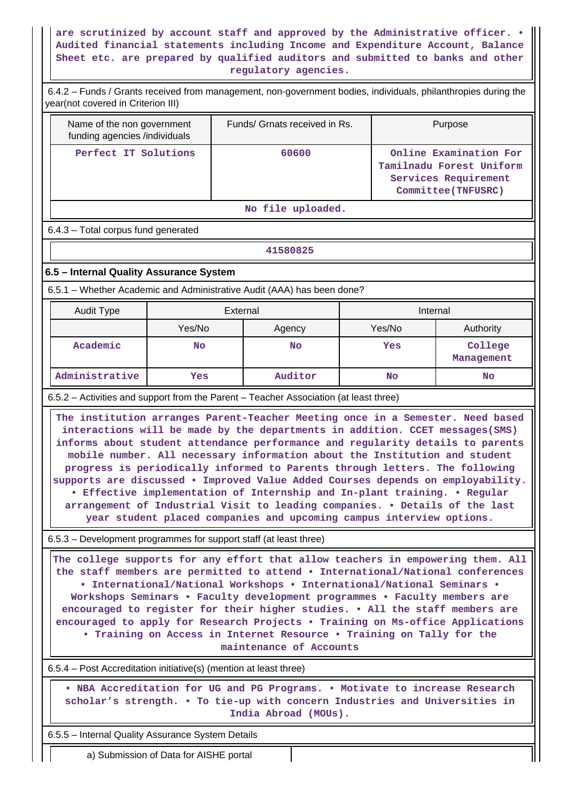# **are scrutinized by account staff and approved by the Administrative officer. • Audited financial statements including Income and Expenditure Account, Balance Sheet etc. are prepared by qualified auditors and submitted to banks and other regulatory agencies.**

 6.4.2 – Funds / Grants received from management, non-government bodies, individuals, philanthropies during the year(not covered in Criterion III)

| Name of the non government<br>funding agencies /individuals | Funds/ Grnats received in Rs. | Purpose                                                                                           |  |  |  |  |  |
|-------------------------------------------------------------|-------------------------------|---------------------------------------------------------------------------------------------------|--|--|--|--|--|
| Perfect IT Solutions                                        | 60600                         | Online Examination For<br>Tamilnadu Forest Uniform<br>Services Requirement<br>Committee (TNFUSRC) |  |  |  |  |  |
|                                                             |                               |                                                                                                   |  |  |  |  |  |

#### **No file uploaded.**

#### 6.4.3 – Total corpus fund generated

#### **41580825**

# **6.5 – Internal Quality Assurance System**

6.5.1 – Whether Academic and Administrative Audit (AAA) has been done?

| Audit Type     | External         |         | Internal |                       |  |  |
|----------------|------------------|---------|----------|-----------------------|--|--|
|                | Yes/No<br>Agency |         | Yes/No   | Authority             |  |  |
| Academic       | <b>No</b>        |         | Yes      | College<br>Management |  |  |
| Administrative | Yes              | Auditor | No       | No                    |  |  |

6.5.2 – Activities and support from the Parent – Teacher Association (at least three)

 **The institution arranges Parent-Teacher Meeting once in a Semester. Need based interactions will be made by the departments in addition. CCET messages(SMS) informs about student attendance performance and regularity details to parents mobile number. All necessary information about the Institution and student progress is periodically informed to Parents through letters. The following supports are discussed • Improved Value Added Courses depends on employability. • Effective implementation of Internship and In-plant training. • Regular arrangement of Industrial Visit to leading companies. • Details of the last year student placed companies and upcoming campus interview options.**

6.5.3 – Development programmes for support staff (at least three)

 **The college supports for any effort that allow teachers in empowering them. All the staff members are permitted to attend • International/National conferences • International/National Workshops • International/National Seminars • Workshops Seminars • Faculty development programmes • Faculty members are encouraged to register for their higher studies. • All the staff members are encouraged to apply for Research Projects • Training on Ms-office Applications • Training on Access in Internet Resource • Training on Tally for the maintenance of Accounts**

6.5.4 – Post Accreditation initiative(s) (mention at least three)

 **• NBA Accreditation for UG and PG Programs. • Motivate to increase Research scholar's strength. • To tie-up with concern Industries and Universities in India Abroad (MOUs).**

6.5.5 – Internal Quality Assurance System Details

a) Submission of Data for AISHE portal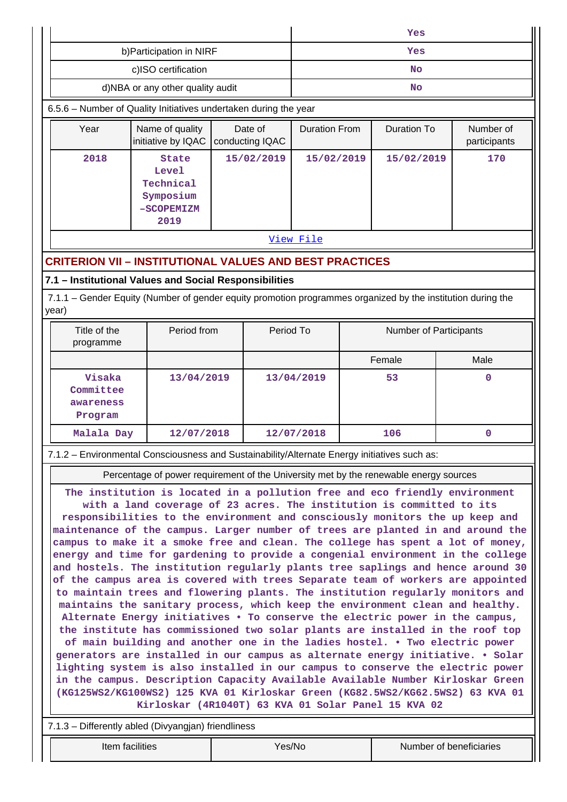|                                                           |                                                                                                             |                  |            |            |             | Yes                    |                           |  |  |
|-----------------------------------------------------------|-------------------------------------------------------------------------------------------------------------|------------------|------------|------------|-------------|------------------------|---------------------------|--|--|
|                                                           | b) Participation in NIRF                                                                                    |                  |            | Yes        |             |                        |                           |  |  |
|                                                           | c)ISO certification                                                                                         |                  |            | <b>No</b>  |             |                        |                           |  |  |
|                                                           | d)NBA or any other quality audit                                                                            |                  |            |            |             | <b>No</b>              |                           |  |  |
|                                                           | 6.5.6 - Number of Quality Initiatives undertaken during the year                                            |                  |            |            |             |                        |                           |  |  |
| Year                                                      | Name of quality<br>Date of<br>initiative by IQAC<br>conducting IQAC                                         |                  |            |            |             | <b>Duration To</b>     | Number of<br>participants |  |  |
| 2018                                                      | <b>State</b><br><b>Level</b><br>Technical<br>Symposium<br>-SCOPEMIZM<br>2019                                |                  | 15/02/2019 | 15/02/2019 |             | 15/02/2019             | 170                       |  |  |
|                                                           |                                                                                                             |                  |            | View File  |             |                        |                           |  |  |
|                                                           | <b>CRITERION VII - INSTITUTIONAL VALUES AND BEST PRACTICES</b>                                              |                  |            |            |             |                        |                           |  |  |
|                                                           | 7.1 - Institutional Values and Social Responsibilities                                                      |                  |            |            |             |                        |                           |  |  |
| year)                                                     | 7.1.1 – Gender Equity (Number of gender equity promotion programmes organized by the institution during the |                  |            |            |             |                        |                           |  |  |
| Title of the<br>programme                                 | Period from                                                                                                 |                  | Period To  |            |             | Number of Participants |                           |  |  |
|                                                           |                                                                                                             |                  |            |            |             | Female                 | Male                      |  |  |
| Visaka<br>13/04/2019<br>Committee<br>awareness<br>Program |                                                                                                             | 13/04/2019<br>53 |            |            | $\mathbf 0$ |                        |                           |  |  |
| Malala Day                                                | 12/07/2018                                                                                                  |                  |            | 12/07/2018 |             | 106                    | $\mathbf 0$               |  |  |
|                                                           | 7.1.2 - Environmental Consciousness and Sustainability/Alternate Energy initiatives such as:                |                  |            |            |             |                        |                           |  |  |

Percentage of power requirement of the University met by the renewable energy sources

**The institution is located in a pollution free and eco friendly environment with a land coverage of 23 acres. The institution is committed to its responsibilities to the environment and consciously monitors the up keep and maintenance of the campus. Larger number of trees are planted in and around the campus to make it a smoke free and clean. The college has spent a lot of money, energy and time for gardening to provide a congenial environment in the college and hostels. The institution regularly plants tree saplings and hence around 30 of the campus area is covered with trees Separate team of workers are appointed to maintain trees and flowering plants. The institution regularly monitors and maintains the sanitary process, which keep the environment clean and healthy. Alternate Energy initiatives • To conserve the electric power in the campus, the institute has commissioned two solar plants are installed in the roof top of main building and another one in the ladies hostel. • Two electric power generators are installed in our campus as alternate energy initiative. • Solar lighting system is also installed in our campus to conserve the electric power in the campus. Description Capacity Available Available Number Kirloskar Green (KG125WS2/KG100WS2) 125 KVA 01 Kirloskar Green (KG82.5WS2/KG62.5WS2) 63 KVA 01 Kirloskar (4R1040T) 63 KVA 01 Solar Panel 15 KVA 02**

7.1.3 – Differently abled (Divyangjan) friendliness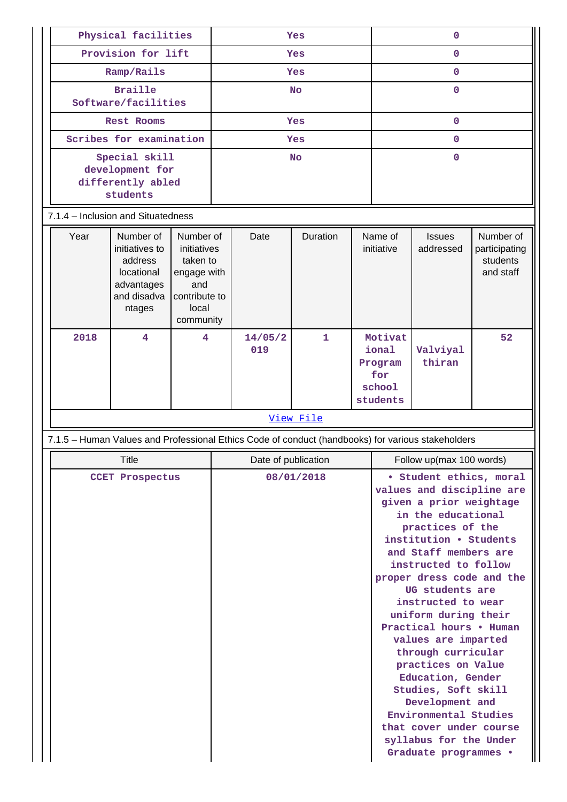| Physical facilities                                                                                                                                                                                      |                                    | Yes |                     |                                                                                                   | $\mathbf{O}$ |                          |                                                          |                                                                                                                                                                                                                                                                                                                                                                                                                                                                                                                                                                        |    |
|----------------------------------------------------------------------------------------------------------------------------------------------------------------------------------------------------------|------------------------------------|-----|---------------------|---------------------------------------------------------------------------------------------------|--------------|--------------------------|----------------------------------------------------------|------------------------------------------------------------------------------------------------------------------------------------------------------------------------------------------------------------------------------------------------------------------------------------------------------------------------------------------------------------------------------------------------------------------------------------------------------------------------------------------------------------------------------------------------------------------------|----|
|                                                                                                                                                                                                          | Provision for lift                 |     |                     | Yes                                                                                               |              |                          | 0                                                        |                                                                                                                                                                                                                                                                                                                                                                                                                                                                                                                                                                        |    |
|                                                                                                                                                                                                          | Ramp/Rails                         |     | Yes                 |                                                                                                   |              | 0                        |                                                          |                                                                                                                                                                                                                                                                                                                                                                                                                                                                                                                                                                        |    |
| <b>Braille</b><br>Software/facilities                                                                                                                                                                    |                                    |     | <b>No</b>           |                                                                                                   |              | 0                        |                                                          |                                                                                                                                                                                                                                                                                                                                                                                                                                                                                                                                                                        |    |
|                                                                                                                                                                                                          | <b>Rest Rooms</b>                  |     | Yes                 |                                                                                                   |              |                          | $\mathbf{O}$                                             |                                                                                                                                                                                                                                                                                                                                                                                                                                                                                                                                                                        |    |
| Scribes for examination                                                                                                                                                                                  |                                    |     |                     |                                                                                                   | Yes          |                          |                                                          | $\mathbf 0$                                                                                                                                                                                                                                                                                                                                                                                                                                                                                                                                                            |    |
| Special skill<br>development for<br>differently abled<br>students                                                                                                                                        |                                    |     | <b>No</b>           |                                                                                                   |              | $\Omega$                 |                                                          |                                                                                                                                                                                                                                                                                                                                                                                                                                                                                                                                                                        |    |
|                                                                                                                                                                                                          | 7.1.4 - Inclusion and Situatedness |     |                     |                                                                                                   |              |                          |                                                          |                                                                                                                                                                                                                                                                                                                                                                                                                                                                                                                                                                        |    |
| Year<br>Number of<br>Number of<br>initiatives to<br>initiatives<br>address<br>taken to<br>locational<br>engage with<br>advantages<br>and<br>and disadva<br>contribute to<br>local<br>ntages<br>community |                                    |     | Date                | Duration                                                                                          |              | Name of<br>initiative    | <b>Issues</b><br>addressed                               | Number of<br>participating<br>students<br>and staff                                                                                                                                                                                                                                                                                                                                                                                                                                                                                                                    |    |
| 2018                                                                                                                                                                                                     | 4                                  | 4   |                     | 14/05/2<br>019                                                                                    | $\mathbf{1}$ |                          | Motivat<br>ional<br>Program<br>for<br>school<br>students | Valviyal<br>thiran                                                                                                                                                                                                                                                                                                                                                                                                                                                                                                                                                     | 52 |
|                                                                                                                                                                                                          |                                    |     | View File           |                                                                                                   |              |                          |                                                          |                                                                                                                                                                                                                                                                                                                                                                                                                                                                                                                                                                        |    |
|                                                                                                                                                                                                          |                                    |     |                     | 7.1.5 - Human Values and Professional Ethics Code of conduct (handbooks) for various stakeholders |              |                          |                                                          |                                                                                                                                                                                                                                                                                                                                                                                                                                                                                                                                                                        |    |
|                                                                                                                                                                                                          | Title                              |     | Date of publication |                                                                                                   |              | Follow up(max 100 words) |                                                          |                                                                                                                                                                                                                                                                                                                                                                                                                                                                                                                                                                        |    |
|                                                                                                                                                                                                          | <b>CCET Prospectus</b>             |     |                     |                                                                                                   | 08/01/2018   |                          |                                                          | · Student ethics, moral<br>values and discipline are<br>given a prior weightage<br>in the educational<br>practices of the<br>institution . Students<br>and Staff members are<br>instructed to follow<br>proper dress code and the<br>UG students are<br>instructed to wear<br>uniform during their<br>Practical hours . Human<br>values are imparted<br>through curricular<br>practices on Value<br>Education, Gender<br>Studies, Soft skill<br>Development and<br>Environmental Studies<br>that cover under course<br>syllabus for the Under<br>Graduate programmes . |    |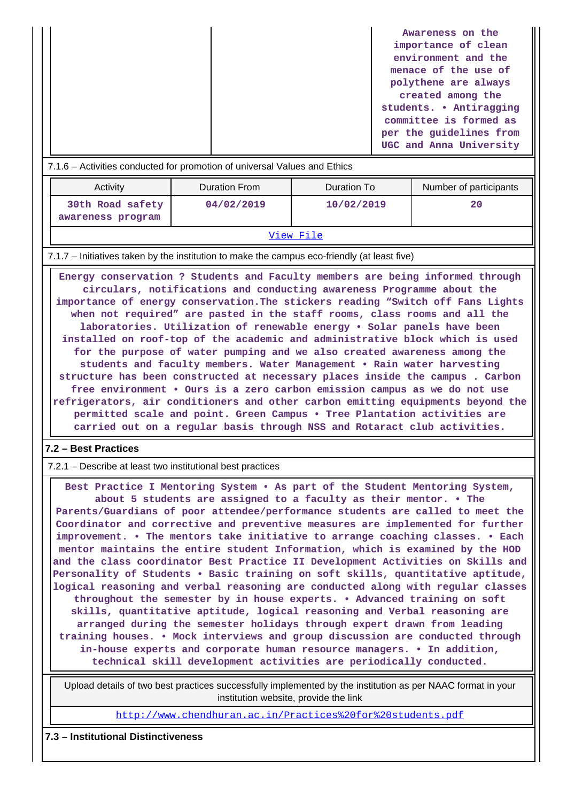|                                                                           | Awareness on the        |  |
|---------------------------------------------------------------------------|-------------------------|--|
|                                                                           | importance of clean     |  |
|                                                                           | environment and the     |  |
|                                                                           | menace of the use of    |  |
|                                                                           | polythene are always    |  |
|                                                                           | created among the       |  |
|                                                                           | students. . Antiragging |  |
|                                                                           | committee is formed as  |  |
|                                                                           | per the quidelines from |  |
|                                                                           | UGC and Anna University |  |
| Activities conducted for promotion of universal Values and Ethiop<br>71 C |                         |  |

#### - Activities conducted for promotion of universal Values and Ethics

| Activity                              | ∍Duration From | Duration To | Number of participants |  |
|---------------------------------------|----------------|-------------|------------------------|--|
| 30th Road safety<br>awareness program | 04/02/2019     | 10/02/2019  | 20                     |  |
| View File                             |                |             |                        |  |

#### 7.1.7 – Initiatives taken by the institution to make the campus eco-friendly (at least five)

 **Energy conservation ? Students and Faculty members are being informed through circulars, notifications and conducting awareness Programme about the importance of energy conservation.The stickers reading "Switch off Fans Lights when not required" are pasted in the staff rooms, class rooms and all the laboratories. Utilization of renewable energy • Solar panels have been installed on roof-top of the academic and administrative block which is used for the purpose of water pumping and we also created awareness among the students and faculty members. Water Management • Rain water harvesting structure has been constructed at necessary places inside the campus . Carbon free environment • Ours is a zero carbon emission campus as we do not use refrigerators, air conditioners and other carbon emitting equipments beyond the permitted scale and point. Green Campus • Tree Plantation activities are carried out on a regular basis through NSS and Rotaract club activities.**

#### **7.2 – Best Practices**

7.2.1 – Describe at least two institutional best practices

 **Best Practice I Mentoring System • As part of the Student Mentoring System, about 5 students are assigned to a faculty as their mentor. • The Parents/Guardians of poor attendee/performance students are called to meet the Coordinator and corrective and preventive measures are implemented for further improvement. • The mentors take initiative to arrange coaching classes. • Each mentor maintains the entire student Information, which is examined by the HOD and the class coordinator Best Practice II Development Activities on Skills and Personality of Students • Basic training on soft skills, quantitative aptitude, logical reasoning and verbal reasoning are conducted along with regular classes throughout the semester by in house experts. • Advanced training on soft skills, quantitative aptitude, logical reasoning and Verbal reasoning are arranged during the semester holidays through expert drawn from leading training houses. • Mock interviews and group discussion are conducted through in-house experts and corporate human resource managers. • In addition, technical skill development activities are periodically conducted.**

 Upload details of two best practices successfully implemented by the institution as per NAAC format in your institution website, provide the link

<http://www.chendhuran.ac.in/Practices%20for%20students.pdf>

### **7.3 – Institutional Distinctiveness**